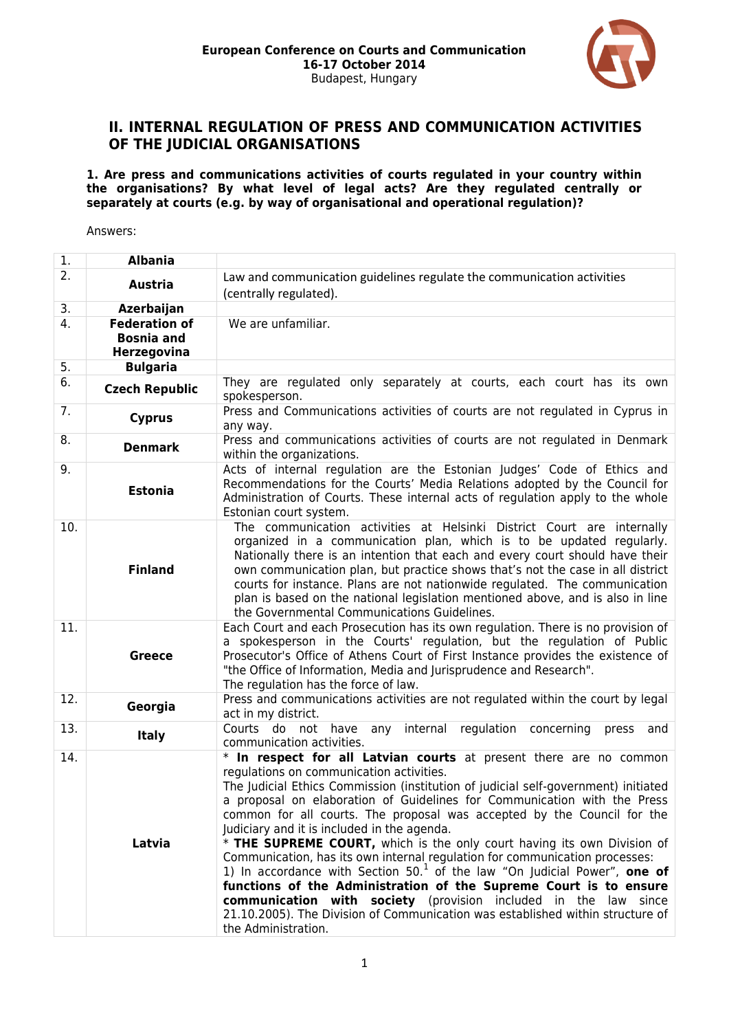

### **II. INTERNAL REGULATION OF PRESS AND COMMUNICATION ACTIVITIES OF THE JUDICIAL ORGANISATIONS**

**1. Are press and communications activities of courts regulated in your country within the organisations? By what level of legal acts? Are they regulated centrally or separately at courts (e.g. by way of organisational and operational regulation)?**

| 1.               | <b>Albania</b>                                           |                                                                                                                                                                                                                                                                                                                                                                                                                                                                                                                                                                                                                                                                                                                                                                                                                                                                                                     |
|------------------|----------------------------------------------------------|-----------------------------------------------------------------------------------------------------------------------------------------------------------------------------------------------------------------------------------------------------------------------------------------------------------------------------------------------------------------------------------------------------------------------------------------------------------------------------------------------------------------------------------------------------------------------------------------------------------------------------------------------------------------------------------------------------------------------------------------------------------------------------------------------------------------------------------------------------------------------------------------------------|
| $\overline{2}$ . | <b>Austria</b>                                           | Law and communication guidelines regulate the communication activities<br>(centrally regulated).                                                                                                                                                                                                                                                                                                                                                                                                                                                                                                                                                                                                                                                                                                                                                                                                    |
| 3.               | Azerbaijan                                               |                                                                                                                                                                                                                                                                                                                                                                                                                                                                                                                                                                                                                                                                                                                                                                                                                                                                                                     |
| 4.               | <b>Federation of</b><br><b>Bosnia and</b><br>Herzegovina | We are unfamiliar.                                                                                                                                                                                                                                                                                                                                                                                                                                                                                                                                                                                                                                                                                                                                                                                                                                                                                  |
| 5.               | <b>Bulgaria</b>                                          |                                                                                                                                                                                                                                                                                                                                                                                                                                                                                                                                                                                                                                                                                                                                                                                                                                                                                                     |
| 6.               | <b>Czech Republic</b>                                    | They are regulated only separately at courts, each court has its own<br>spokesperson.                                                                                                                                                                                                                                                                                                                                                                                                                                                                                                                                                                                                                                                                                                                                                                                                               |
| 7.               | <b>Cyprus</b>                                            | Press and Communications activities of courts are not regulated in Cyprus in<br>any way.                                                                                                                                                                                                                                                                                                                                                                                                                                                                                                                                                                                                                                                                                                                                                                                                            |
| 8.               | <b>Denmark</b>                                           | Press and communications activities of courts are not regulated in Denmark<br>within the organizations.                                                                                                                                                                                                                                                                                                                                                                                                                                                                                                                                                                                                                                                                                                                                                                                             |
| 9.               | <b>Estonia</b>                                           | Acts of internal regulation are the Estonian Judges' Code of Ethics and<br>Recommendations for the Courts' Media Relations adopted by the Council for<br>Administration of Courts. These internal acts of regulation apply to the whole<br>Estonian court system.                                                                                                                                                                                                                                                                                                                                                                                                                                                                                                                                                                                                                                   |
| 10.              | <b>Finland</b>                                           | The communication activities at Helsinki District Court are internally<br>organized in a communication plan, which is to be updated regularly.<br>Nationally there is an intention that each and every court should have their<br>own communication plan, but practice shows that's not the case in all district<br>courts for instance. Plans are not nationwide regulated. The communication<br>plan is based on the national legislation mentioned above, and is also in line<br>the Governmental Communications Guidelines.                                                                                                                                                                                                                                                                                                                                                                     |
| 11.              | <b>Greece</b>                                            | Each Court and each Prosecution has its own regulation. There is no provision of<br>a spokesperson in the Courts' regulation, but the regulation of Public<br>Prosecutor's Office of Athens Court of First Instance provides the existence of<br>"the Office of Information, Media and Jurisprudence and Research".<br>The regulation has the force of law.                                                                                                                                                                                                                                                                                                                                                                                                                                                                                                                                         |
| 12.              | Georgia                                                  | Press and communications activities are not regulated within the court by legal<br>act in my district.                                                                                                                                                                                                                                                                                                                                                                                                                                                                                                                                                                                                                                                                                                                                                                                              |
| 13.              | <b>Italy</b>                                             | Courts do not<br>internal<br>regulation concerning<br>have<br>any<br>press<br>and<br>communication activities.                                                                                                                                                                                                                                                                                                                                                                                                                                                                                                                                                                                                                                                                                                                                                                                      |
| 14.              | Latvia                                                   | * In respect for all Latvian courts at present there are no common<br>regulations on communication activities.<br>The Judicial Ethics Commission (institution of judicial self-government) initiated<br>a proposal on elaboration of Guidelines for Communication with the Press<br>common for all courts. The proposal was accepted by the Council for the<br>Judiciary and it is included in the agenda.<br>* THE SUPREME COURT, which is the only court having its own Division of<br>Communication, has its own internal regulation for communication processes:<br>1) In accordance with Section $501$ of the law "On Judicial Power", one of<br>functions of the Administration of the Supreme Court is to ensure<br>communication with society (provision included in the law since<br>21.10.2005). The Division of Communication was established within structure of<br>the Administration. |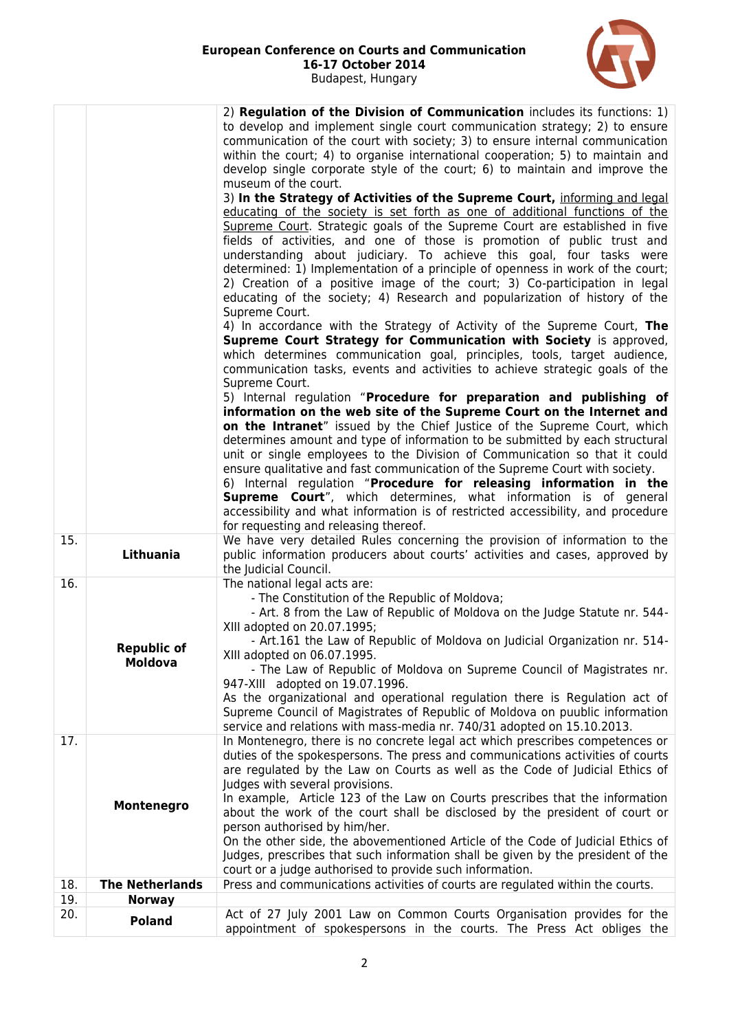

|     |                                      | 2) Regulation of the Division of Communication includes its functions: 1)<br>to develop and implement single court communication strategy; 2) to ensure<br>communication of the court with society; 3) to ensure internal communication<br>within the court; 4) to organise international cooperation; 5) to maintain and<br>develop single corporate style of the court; 6) to maintain and improve the<br>museum of the court.<br>3) In the Strategy of Activities of the Supreme Court, informing and legal<br>educating of the society is set forth as one of additional functions of the<br>Supreme Court. Strategic goals of the Supreme Court are established in five<br>fields of activities, and one of those is promotion of public trust and<br>understanding about judiciary. To achieve this goal, four tasks were<br>determined: 1) Implementation of a principle of openness in work of the court;<br>2) Creation of a positive image of the court; 3) Co-participation in legal<br>educating of the society; 4) Research and popularization of history of the<br>Supreme Court.<br>4) In accordance with the Strategy of Activity of the Supreme Court, The<br>Supreme Court Strategy for Communication with Society is approved,<br>which determines communication goal, principles, tools, target audience,<br>communication tasks, events and activities to achieve strategic goals of the<br>Supreme Court.<br>5) Internal regulation "Procedure for preparation and publishing of<br>information on the web site of the Supreme Court on the Internet and<br>on the Intranet" issued by the Chief Justice of the Supreme Court, which<br>determines amount and type of information to be submitted by each structural<br>unit or single employees to the Division of Communication so that it could<br>ensure qualitative and fast communication of the Supreme Court with society.<br>6) Internal regulation "Procedure for releasing information in the<br><b>Supreme Court</b> ", which determines, what information is of general<br>accessibility and what information is of restricted accessibility, and procedure<br>for requesting and releasing thereof. |
|-----|--------------------------------------|-----------------------------------------------------------------------------------------------------------------------------------------------------------------------------------------------------------------------------------------------------------------------------------------------------------------------------------------------------------------------------------------------------------------------------------------------------------------------------------------------------------------------------------------------------------------------------------------------------------------------------------------------------------------------------------------------------------------------------------------------------------------------------------------------------------------------------------------------------------------------------------------------------------------------------------------------------------------------------------------------------------------------------------------------------------------------------------------------------------------------------------------------------------------------------------------------------------------------------------------------------------------------------------------------------------------------------------------------------------------------------------------------------------------------------------------------------------------------------------------------------------------------------------------------------------------------------------------------------------------------------------------------------------------------------------------------------------------------------------------------------------------------------------------------------------------------------------------------------------------------------------------------------------------------------------------------------------------------------------------------------------------------------------------------------------------------------------------------------------------------------------------------------------------------------------------|
| 15. | Lithuania                            | We have very detailed Rules concerning the provision of information to the<br>public information producers about courts' activities and cases, approved by<br>the Judicial Council.                                                                                                                                                                                                                                                                                                                                                                                                                                                                                                                                                                                                                                                                                                                                                                                                                                                                                                                                                                                                                                                                                                                                                                                                                                                                                                                                                                                                                                                                                                                                                                                                                                                                                                                                                                                                                                                                                                                                                                                                     |
| 16. | <b>Republic of</b><br><b>Moldova</b> | The national legal acts are:<br>- The Constitution of the Republic of Moldova;<br>- Art. 8 from the Law of Republic of Moldova on the Judge Statute nr. 544-<br>XIII adopted on 20.07.1995;<br>- Art.161 the Law of Republic of Moldova on Judicial Organization nr. 514-<br>XIII adopted on 06.07.1995.<br>- The Law of Republic of Moldova on Supreme Council of Magistrates nr.<br>947-XIII adopted on 19.07.1996.<br>As the organizational and operational regulation there is Regulation act of<br>Supreme Council of Magistrates of Republic of Moldova on puublic information<br>service and relations with mass-media nr. 740/31 adopted on 15.10.2013.                                                                                                                                                                                                                                                                                                                                                                                                                                                                                                                                                                                                                                                                                                                                                                                                                                                                                                                                                                                                                                                                                                                                                                                                                                                                                                                                                                                                                                                                                                                         |
| 17. | Montenegro                           | In Montenegro, there is no concrete legal act which prescribes competences or<br>duties of the spokespersons. The press and communications activities of courts<br>are regulated by the Law on Courts as well as the Code of Judicial Ethics of<br>Judges with several provisions.<br>In example, Article 123 of the Law on Courts prescribes that the information<br>about the work of the court shall be disclosed by the president of court or<br>person authorised by him/her.<br>On the other side, the abovementioned Article of the Code of Judicial Ethics of<br>Judges, prescribes that such information shall be given by the president of the<br>court or a judge authorised to provide such information.                                                                                                                                                                                                                                                                                                                                                                                                                                                                                                                                                                                                                                                                                                                                                                                                                                                                                                                                                                                                                                                                                                                                                                                                                                                                                                                                                                                                                                                                    |
| 18. | <b>The Netherlands</b>               | Press and communications activities of courts are regulated within the courts.                                                                                                                                                                                                                                                                                                                                                                                                                                                                                                                                                                                                                                                                                                                                                                                                                                                                                                                                                                                                                                                                                                                                                                                                                                                                                                                                                                                                                                                                                                                                                                                                                                                                                                                                                                                                                                                                                                                                                                                                                                                                                                          |
| 19. | <b>Norway</b>                        |                                                                                                                                                                                                                                                                                                                                                                                                                                                                                                                                                                                                                                                                                                                                                                                                                                                                                                                                                                                                                                                                                                                                                                                                                                                                                                                                                                                                                                                                                                                                                                                                                                                                                                                                                                                                                                                                                                                                                                                                                                                                                                                                                                                         |
| 20. | <b>Poland</b>                        | Act of 27 July 2001 Law on Common Courts Organisation provides for the<br>appointment of spokespersons in the courts. The Press Act obliges the                                                                                                                                                                                                                                                                                                                                                                                                                                                                                                                                                                                                                                                                                                                                                                                                                                                                                                                                                                                                                                                                                                                                                                                                                                                                                                                                                                                                                                                                                                                                                                                                                                                                                                                                                                                                                                                                                                                                                                                                                                         |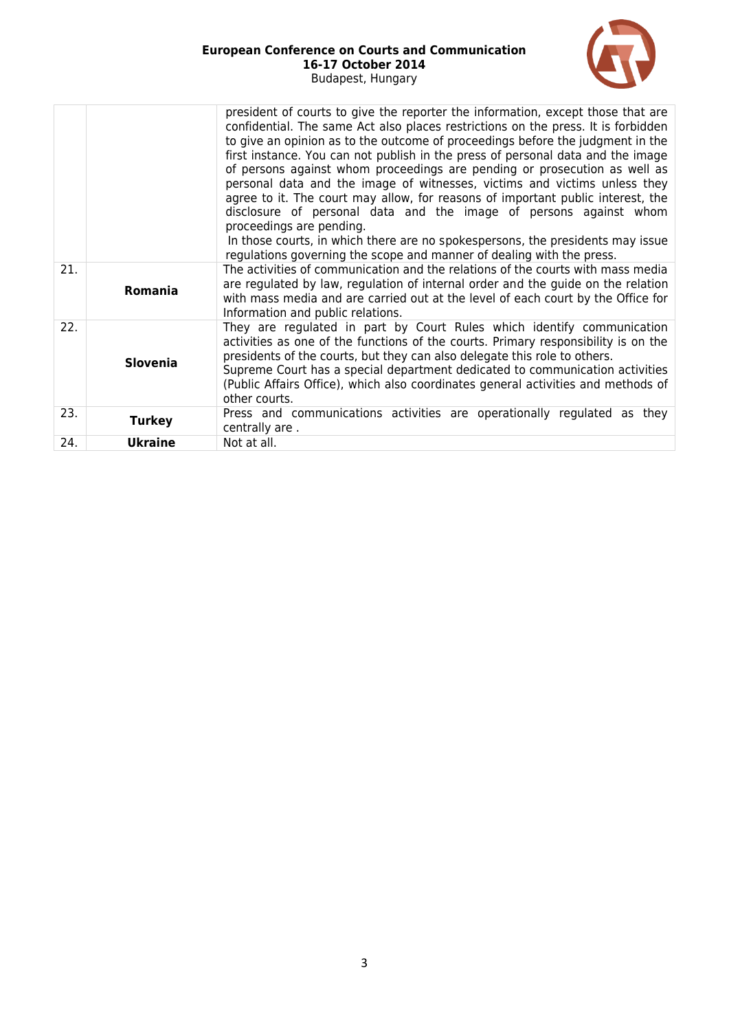

|     |                 | president of courts to give the reporter the information, except those that are<br>confidential. The same Act also places restrictions on the press. It is forbidden<br>to give an opinion as to the outcome of proceedings before the judgment in the<br>first instance. You can not publish in the press of personal data and the image<br>of persons against whom proceedings are pending or prosecution as well as<br>personal data and the image of witnesses, victims and victims unless they<br>agree to it. The court may allow, for reasons of important public interest, the<br>disclosure of personal data and the image of persons against whom<br>proceedings are pending.<br>In those courts, in which there are no spokespersons, the presidents may issue<br>regulations governing the scope and manner of dealing with the press. |
|-----|-----------------|----------------------------------------------------------------------------------------------------------------------------------------------------------------------------------------------------------------------------------------------------------------------------------------------------------------------------------------------------------------------------------------------------------------------------------------------------------------------------------------------------------------------------------------------------------------------------------------------------------------------------------------------------------------------------------------------------------------------------------------------------------------------------------------------------------------------------------------------------|
| 21. | Romania         | The activities of communication and the relations of the courts with mass media<br>are regulated by law, regulation of internal order and the guide on the relation<br>with mass media and are carried out at the level of each court by the Office for<br>Information and public relations.                                                                                                                                                                                                                                                                                                                                                                                                                                                                                                                                                       |
| 22. | <b>Slovenia</b> | They are regulated in part by Court Rules which identify communication<br>activities as one of the functions of the courts. Primary responsibility is on the<br>presidents of the courts, but they can also delegate this role to others.<br>Supreme Court has a special department dedicated to communication activities<br>(Public Affairs Office), which also coordinates general activities and methods of<br>other courts.                                                                                                                                                                                                                                                                                                                                                                                                                    |
| 23. | <b>Turkey</b>   | Press and communications activities are operationally regulated as they<br>centrally are.                                                                                                                                                                                                                                                                                                                                                                                                                                                                                                                                                                                                                                                                                                                                                          |
| 24. | <b>Ukraine</b>  | Not at all.                                                                                                                                                                                                                                                                                                                                                                                                                                                                                                                                                                                                                                                                                                                                                                                                                                        |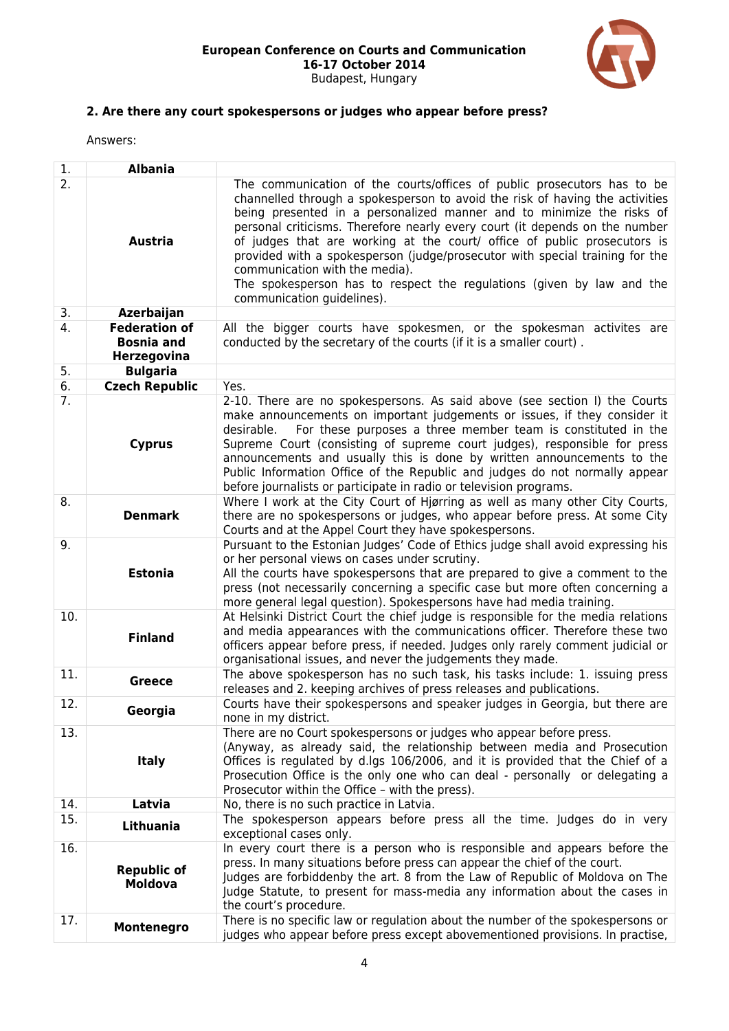

# **2. Are there any court spokespersons or judges who appear before press?**

| 1.  | <b>Albania</b>                                           |                                                                                                                                                                                                                                                                                                                                                                                                                                                                                                                                                                                                                      |
|-----|----------------------------------------------------------|----------------------------------------------------------------------------------------------------------------------------------------------------------------------------------------------------------------------------------------------------------------------------------------------------------------------------------------------------------------------------------------------------------------------------------------------------------------------------------------------------------------------------------------------------------------------------------------------------------------------|
| 2.  | <b>Austria</b>                                           | The communication of the courts/offices of public prosecutors has to be<br>channelled through a spokesperson to avoid the risk of having the activities<br>being presented in a personalized manner and to minimize the risks of<br>personal criticisms. Therefore nearly every court (it depends on the number<br>of judges that are working at the court/ office of public prosecutors is<br>provided with a spokesperson (judge/prosecutor with special training for the<br>communication with the media).<br>The spokesperson has to respect the regulations (given by law and the<br>communication guidelines). |
| 3.  | Azerbaijan                                               |                                                                                                                                                                                                                                                                                                                                                                                                                                                                                                                                                                                                                      |
| 4.  | <b>Federation of</b><br><b>Bosnia and</b><br>Herzegovina | All the bigger courts have spokesmen, or the spokesman activites are<br>conducted by the secretary of the courts (if it is a smaller court).                                                                                                                                                                                                                                                                                                                                                                                                                                                                         |
| 5.  | <b>Bulgaria</b>                                          |                                                                                                                                                                                                                                                                                                                                                                                                                                                                                                                                                                                                                      |
| 6.  | <b>Czech Republic</b>                                    | Yes.                                                                                                                                                                                                                                                                                                                                                                                                                                                                                                                                                                                                                 |
| 7.  | <b>Cyprus</b>                                            | 2-10. There are no spokespersons. As said above (see section I) the Courts<br>make announcements on important judgements or issues, if they consider it<br>For these purposes a three member team is constituted in the<br>desirable.<br>Supreme Court (consisting of supreme court judges), responsible for press<br>announcements and usually this is done by written announcements to the<br>Public Information Office of the Republic and judges do not normally appear<br>before journalists or participate in radio or television programs.                                                                    |
| 8.  | <b>Denmark</b>                                           | Where I work at the City Court of Hjørring as well as many other City Courts,<br>there are no spokespersons or judges, who appear before press. At some City<br>Courts and at the Appel Court they have spokespersons.                                                                                                                                                                                                                                                                                                                                                                                               |
| 9.  | <b>Estonia</b>                                           | Pursuant to the Estonian Judges' Code of Ethics judge shall avoid expressing his<br>or her personal views on cases under scrutiny.<br>All the courts have spokespersons that are prepared to give a comment to the<br>press (not necessarily concerning a specific case but more often concerning a<br>more general legal question). Spokespersons have had media training.                                                                                                                                                                                                                                          |
| 10. | <b>Finland</b>                                           | At Helsinki District Court the chief judge is responsible for the media relations<br>and media appearances with the communications officer. Therefore these two<br>officers appear before press, if needed. Judges only rarely comment judicial or<br>organisational issues, and never the judgements they made.                                                                                                                                                                                                                                                                                                     |
| 11. | <b>Greece</b>                                            | The above spokesperson has no such task, his tasks include: 1. issuing press<br>releases and 2. keeping archives of press releases and publications.                                                                                                                                                                                                                                                                                                                                                                                                                                                                 |
| 12. | Georgia                                                  | Courts have their spokespersons and speaker judges in Georgia, but there are<br>none in my district.                                                                                                                                                                                                                                                                                                                                                                                                                                                                                                                 |
| 13. | <b>Italy</b>                                             | There are no Court spokespersons or judges who appear before press.<br>(Anyway, as already said, the relationship between media and Prosecution<br>Offices is regulated by d.lgs 106/2006, and it is provided that the Chief of a<br>Prosecution Office is the only one who can deal - personally or delegating a<br>Prosecutor within the Office - with the press).                                                                                                                                                                                                                                                 |
| 14. | Latvia                                                   | No, there is no such practice in Latvia.                                                                                                                                                                                                                                                                                                                                                                                                                                                                                                                                                                             |
| 15. | Lithuania                                                | The spokesperson appears before press all the time. Judges do in very<br>exceptional cases only.                                                                                                                                                                                                                                                                                                                                                                                                                                                                                                                     |
| 16. | <b>Republic of</b><br><b>Moldova</b>                     | In every court there is a person who is responsible and appears before the<br>press. In many situations before press can appear the chief of the court.<br>Judges are forbiddenby the art. 8 from the Law of Republic of Moldova on The<br>Judge Statute, to present for mass-media any information about the cases in<br>the court's procedure.                                                                                                                                                                                                                                                                     |
| 17. | Montenegro                                               | There is no specific law or regulation about the number of the spokespersons or<br>judges who appear before press except abovementioned provisions. In practise,                                                                                                                                                                                                                                                                                                                                                                                                                                                     |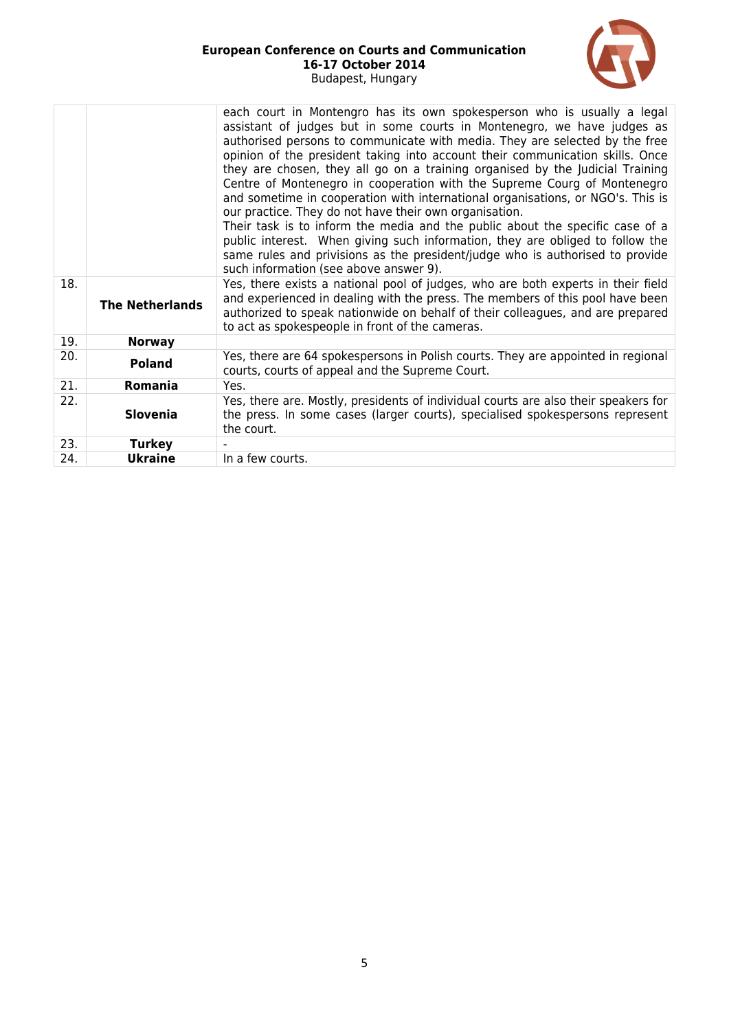

|     |                        | each court in Montengro has its own spokesperson who is usually a legal<br>assistant of judges but in some courts in Montenegro, we have judges as<br>authorised persons to communicate with media. They are selected by the free<br>opinion of the president taking into account their communication skills. Once<br>they are chosen, they all go on a training organised by the Judicial Training<br>Centre of Montenegro in cooperation with the Supreme Courg of Montenegro<br>and sometime in cooperation with international organisations, or NGO's. This is<br>our practice. They do not have their own organisation.<br>Their task is to inform the media and the public about the specific case of a<br>public interest. When giving such information, they are obliged to follow the<br>same rules and privisions as the president/judge who is authorised to provide<br>such information (see above answer 9). |
|-----|------------------------|---------------------------------------------------------------------------------------------------------------------------------------------------------------------------------------------------------------------------------------------------------------------------------------------------------------------------------------------------------------------------------------------------------------------------------------------------------------------------------------------------------------------------------------------------------------------------------------------------------------------------------------------------------------------------------------------------------------------------------------------------------------------------------------------------------------------------------------------------------------------------------------------------------------------------|
| 18. | <b>The Netherlands</b> | Yes, there exists a national pool of judges, who are both experts in their field<br>and experienced in dealing with the press. The members of this pool have been<br>authorized to speak nationwide on behalf of their colleagues, and are prepared<br>to act as spokespeople in front of the cameras.                                                                                                                                                                                                                                                                                                                                                                                                                                                                                                                                                                                                                    |
| 19. | <b>Norway</b>          |                                                                                                                                                                                                                                                                                                                                                                                                                                                                                                                                                                                                                                                                                                                                                                                                                                                                                                                           |
| 20. | <b>Poland</b>          | Yes, there are 64 spokespersons in Polish courts. They are appointed in regional<br>courts, courts of appeal and the Supreme Court.                                                                                                                                                                                                                                                                                                                                                                                                                                                                                                                                                                                                                                                                                                                                                                                       |
| 21. | Romania                | Yes.                                                                                                                                                                                                                                                                                                                                                                                                                                                                                                                                                                                                                                                                                                                                                                                                                                                                                                                      |
| 22. | <b>Slovenia</b>        | Yes, there are. Mostly, presidents of individual courts are also their speakers for<br>the press. In some cases (larger courts), specialised spokespersons represent<br>the court.                                                                                                                                                                                                                                                                                                                                                                                                                                                                                                                                                                                                                                                                                                                                        |
| 23. | <b>Turkey</b>          |                                                                                                                                                                                                                                                                                                                                                                                                                                                                                                                                                                                                                                                                                                                                                                                                                                                                                                                           |
| 24. | <b>Ukraine</b>         | In a few courts.                                                                                                                                                                                                                                                                                                                                                                                                                                                                                                                                                                                                                                                                                                                                                                                                                                                                                                          |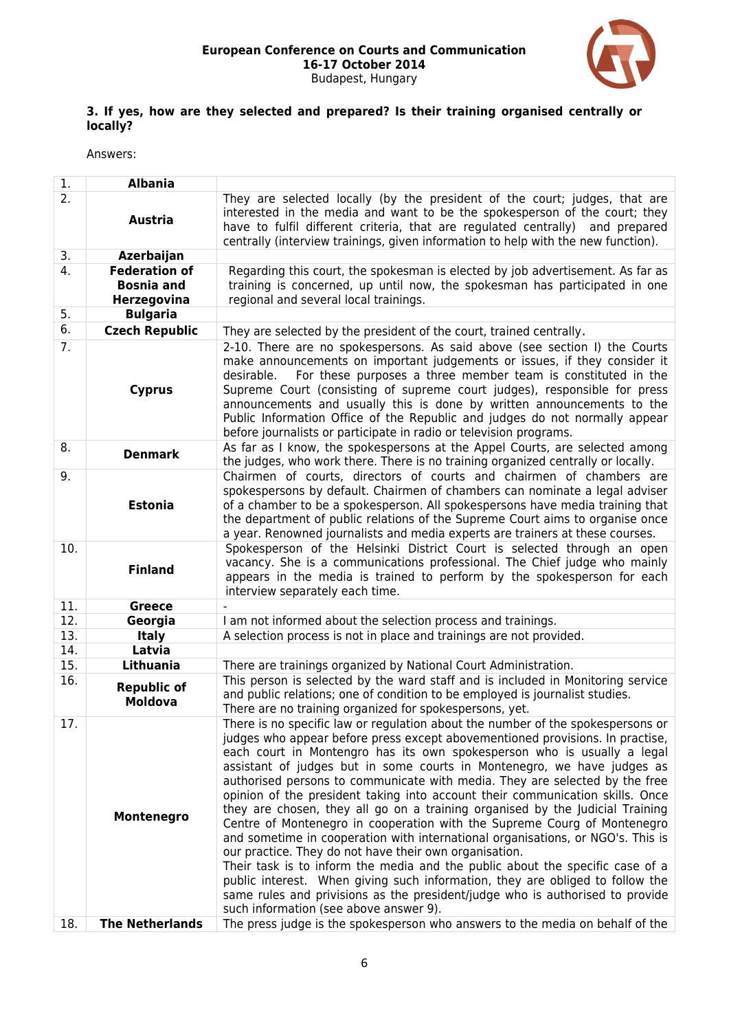

### **3. If yes, how are they selected and prepared? Is their training organised centrally or locally?**

| 2.<br>They are selected locally (by the president of the court; judges, that are<br>interested in the media and want to be the spokesperson of the court; they<br><b>Austria</b><br>have to fulfil different criteria, that are regulated centrally) and prepared<br>centrally (interview trainings, given information to help with the new function).<br>3.<br>Azerbaijan<br>4.<br><b>Federation of</b><br>Regarding this court, the spokesman is elected by job advertisement. As far as                                                                                                                                                                                                                                                                                                                                                                                                                                                                                                                                                                               |
|--------------------------------------------------------------------------------------------------------------------------------------------------------------------------------------------------------------------------------------------------------------------------------------------------------------------------------------------------------------------------------------------------------------------------------------------------------------------------------------------------------------------------------------------------------------------------------------------------------------------------------------------------------------------------------------------------------------------------------------------------------------------------------------------------------------------------------------------------------------------------------------------------------------------------------------------------------------------------------------------------------------------------------------------------------------------------|
|                                                                                                                                                                                                                                                                                                                                                                                                                                                                                                                                                                                                                                                                                                                                                                                                                                                                                                                                                                                                                                                                          |
|                                                                                                                                                                                                                                                                                                                                                                                                                                                                                                                                                                                                                                                                                                                                                                                                                                                                                                                                                                                                                                                                          |
| <b>Bosnia and</b><br>training is concerned, up until now, the spokesman has participated in one<br>regional and several local trainings.<br>Herzegovina                                                                                                                                                                                                                                                                                                                                                                                                                                                                                                                                                                                                                                                                                                                                                                                                                                                                                                                  |
| 5.<br><b>Bulgaria</b>                                                                                                                                                                                                                                                                                                                                                                                                                                                                                                                                                                                                                                                                                                                                                                                                                                                                                                                                                                                                                                                    |
| 6.<br><b>Czech Republic</b><br>They are selected by the president of the court, trained centrally.                                                                                                                                                                                                                                                                                                                                                                                                                                                                                                                                                                                                                                                                                                                                                                                                                                                                                                                                                                       |
| 7.<br>2-10. There are no spokespersons. As said above (see section I) the Courts<br>make announcements on important judgements or issues, if they consider it<br>For these purposes a three member team is constituted in the<br>desirable.<br>Supreme Court (consisting of supreme court judges), responsible for press<br><b>Cyprus</b><br>announcements and usually this is done by written announcements to the<br>Public Information Office of the Republic and judges do not normally appear<br>before journalists or participate in radio or television programs.                                                                                                                                                                                                                                                                                                                                                                                                                                                                                                 |
| 8.<br>As far as I know, the spokespersons at the Appel Courts, are selected among<br><b>Denmark</b><br>the judges, who work there. There is no training organized centrally or locally.                                                                                                                                                                                                                                                                                                                                                                                                                                                                                                                                                                                                                                                                                                                                                                                                                                                                                  |
| 9.<br>Chairmen of courts, directors of courts and chairmen of chambers are<br>spokespersons by default. Chairmen of chambers can nominate a legal adviser<br><b>Estonia</b><br>of a chamber to be a spokesperson. All spokespersons have media training that<br>the department of public relations of the Supreme Court aims to organise once<br>a year. Renowned journalists and media experts are trainers at these courses.                                                                                                                                                                                                                                                                                                                                                                                                                                                                                                                                                                                                                                           |
| Spokesperson of the Helsinki District Court is selected through an open<br>10.<br>vacancy. She is a communications professional. The Chief judge who mainly<br><b>Finland</b><br>appears in the media is trained to perform by the spokesperson for each<br>interview separately each time.                                                                                                                                                                                                                                                                                                                                                                                                                                                                                                                                                                                                                                                                                                                                                                              |
| 11.<br><b>Greece</b>                                                                                                                                                                                                                                                                                                                                                                                                                                                                                                                                                                                                                                                                                                                                                                                                                                                                                                                                                                                                                                                     |
| 12.<br>Georgia<br>I am not informed about the selection process and trainings.                                                                                                                                                                                                                                                                                                                                                                                                                                                                                                                                                                                                                                                                                                                                                                                                                                                                                                                                                                                           |
| 13.<br>A selection process is not in place and trainings are not provided.<br><b>Italy</b>                                                                                                                                                                                                                                                                                                                                                                                                                                                                                                                                                                                                                                                                                                                                                                                                                                                                                                                                                                               |
| 14.<br>Latvia                                                                                                                                                                                                                                                                                                                                                                                                                                                                                                                                                                                                                                                                                                                                                                                                                                                                                                                                                                                                                                                            |
| 15.<br>Lithuania<br>There are trainings organized by National Court Administration.                                                                                                                                                                                                                                                                                                                                                                                                                                                                                                                                                                                                                                                                                                                                                                                                                                                                                                                                                                                      |
| 16.<br>This person is selected by the ward staff and is included in Monitoring service<br><b>Republic of</b><br>and public relations; one of condition to be employed is journalist studies.<br><b>Moldova</b><br>There are no training organized for spokespersons, yet.                                                                                                                                                                                                                                                                                                                                                                                                                                                                                                                                                                                                                                                                                                                                                                                                |
| There is no specific law or regulation about the number of the spokespersons or<br>17.<br>judges who appear before press except abovementioned provisions. In practise,<br>each court in Montengro has its own spokesperson who is usually a legal<br>assistant of judges but in some courts in Montenegro, we have judges as<br>authorised persons to communicate with media. They are selected by the free<br>opinion of the president taking into account their communication skills. Once<br>they are chosen, they all go on a training organised by the Judicial Training<br>Montenegro<br>Centre of Montenegro in cooperation with the Supreme Courg of Montenegro<br>and sometime in cooperation with international organisations, or NGO's. This is<br>our practice. They do not have their own organisation.<br>Their task is to inform the media and the public about the specific case of a<br>public interest. When giving such information, they are obliged to follow the<br>same rules and privisions as the president/judge who is authorised to provide |
| such information (see above answer 9).<br>The press judge is the spokesperson who answers to the media on behalf of the<br><b>The Netherlands</b><br>18.                                                                                                                                                                                                                                                                                                                                                                                                                                                                                                                                                                                                                                                                                                                                                                                                                                                                                                                 |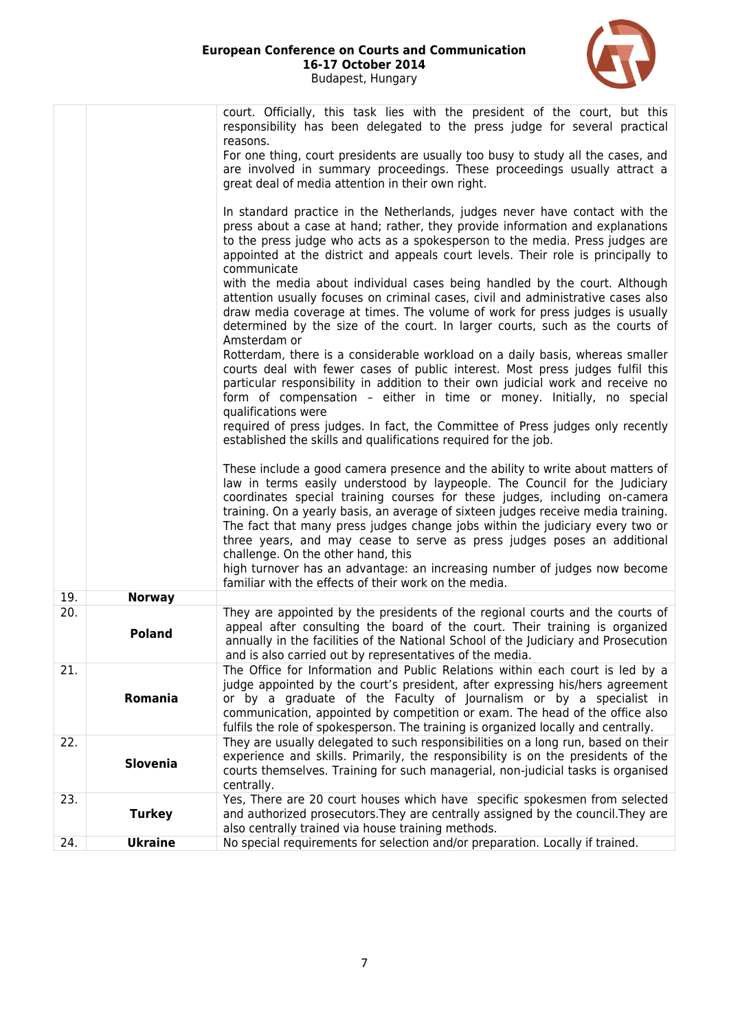

|     |                 | court. Officially, this task lies with the president of the court, but this<br>responsibility has been delegated to the press judge for several practical<br>reasons.<br>For one thing, court presidents are usually too busy to study all the cases, and<br>are involved in summary proceedings. These proceedings usually attract a<br>great deal of media attention in their own right.<br>In standard practice in the Netherlands, judges never have contact with the<br>press about a case at hand; rather, they provide information and explanations<br>to the press judge who acts as a spokesperson to the media. Press judges are<br>appointed at the district and appeals court levels. Their role is principally to<br>communicate<br>with the media about individual cases being handled by the court. Although<br>attention usually focuses on criminal cases, civil and administrative cases also<br>draw media coverage at times. The volume of work for press judges is usually<br>determined by the size of the court. In larger courts, such as the courts of<br>Amsterdam or<br>Rotterdam, there is a considerable workload on a daily basis, whereas smaller<br>courts deal with fewer cases of public interest. Most press judges fulfil this<br>particular responsibility in addition to their own judicial work and receive no<br>form of compensation - either in time or money. Initially, no special<br>qualifications were<br>required of press judges. In fact, the Committee of Press judges only recently |
|-----|-----------------|-----------------------------------------------------------------------------------------------------------------------------------------------------------------------------------------------------------------------------------------------------------------------------------------------------------------------------------------------------------------------------------------------------------------------------------------------------------------------------------------------------------------------------------------------------------------------------------------------------------------------------------------------------------------------------------------------------------------------------------------------------------------------------------------------------------------------------------------------------------------------------------------------------------------------------------------------------------------------------------------------------------------------------------------------------------------------------------------------------------------------------------------------------------------------------------------------------------------------------------------------------------------------------------------------------------------------------------------------------------------------------------------------------------------------------------------------------------------------------------------------------------------------------------------|
|     |                 | established the skills and qualifications required for the job.                                                                                                                                                                                                                                                                                                                                                                                                                                                                                                                                                                                                                                                                                                                                                                                                                                                                                                                                                                                                                                                                                                                                                                                                                                                                                                                                                                                                                                                                         |
|     |                 | These include a good camera presence and the ability to write about matters of<br>law in terms easily understood by laypeople. The Council for the Judiciary<br>coordinates special training courses for these judges, including on-camera<br>training. On a yearly basis, an average of sixteen judges receive media training.<br>The fact that many press judges change jobs within the judiciary every two or<br>three years, and may cease to serve as press judges poses an additional<br>challenge. On the other hand, this<br>high turnover has an advantage: an increasing number of judges now become<br>familiar with the effects of their work on the media.                                                                                                                                                                                                                                                                                                                                                                                                                                                                                                                                                                                                                                                                                                                                                                                                                                                                 |
| 19. | <b>Norway</b>   |                                                                                                                                                                                                                                                                                                                                                                                                                                                                                                                                                                                                                                                                                                                                                                                                                                                                                                                                                                                                                                                                                                                                                                                                                                                                                                                                                                                                                                                                                                                                         |
| 20. | <b>Poland</b>   | They are appointed by the presidents of the regional courts and the courts of<br>appeal after consulting the board of the court. Their training is organized<br>annually in the facilities of the National School of the Judiciary and Prosecution<br>and is also carried out by representatives of the media.                                                                                                                                                                                                                                                                                                                                                                                                                                                                                                                                                                                                                                                                                                                                                                                                                                                                                                                                                                                                                                                                                                                                                                                                                          |
| 21. | Romania         | The Office for Information and Public Relations within each court is led by a<br>judge appointed by the court's president, after expressing his/hers agreement<br>or by a graduate of the Faculty of Journalism or by a specialist in<br>communication, appointed by competition or exam. The head of the office also<br>fulfils the role of spokesperson. The training is organized locally and centrally.                                                                                                                                                                                                                                                                                                                                                                                                                                                                                                                                                                                                                                                                                                                                                                                                                                                                                                                                                                                                                                                                                                                             |
| 22. | <b>Slovenia</b> | They are usually delegated to such responsibilities on a long run, based on their<br>experience and skills. Primarily, the responsibility is on the presidents of the<br>courts themselves. Training for such managerial, non-judicial tasks is organised<br>centrally.                                                                                                                                                                                                                                                                                                                                                                                                                                                                                                                                                                                                                                                                                                                                                                                                                                                                                                                                                                                                                                                                                                                                                                                                                                                                 |
| 23. | <b>Turkey</b>   | Yes, There are 20 court houses which have specific spokesmen from selected<br>and authorized prosecutors. They are centrally assigned by the council. They are<br>also centrally trained via house training methods.                                                                                                                                                                                                                                                                                                                                                                                                                                                                                                                                                                                                                                                                                                                                                                                                                                                                                                                                                                                                                                                                                                                                                                                                                                                                                                                    |
| 24. | <b>Ukraine</b>  | No special requirements for selection and/or preparation. Locally if trained.                                                                                                                                                                                                                                                                                                                                                                                                                                                                                                                                                                                                                                                                                                                                                                                                                                                                                                                                                                                                                                                                                                                                                                                                                                                                                                                                                                                                                                                           |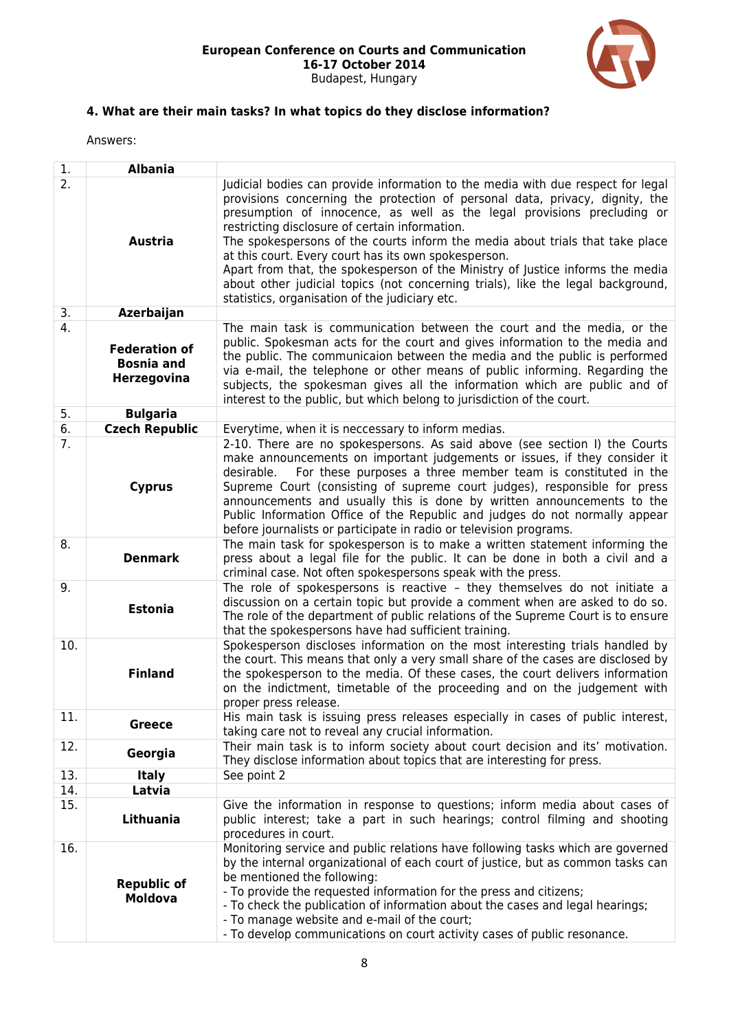

# **4. What are their main tasks? In what topics do they disclose information?**

| 1.               | <b>Albania</b>                                                  |                                                                                                                                                                                                                                                                                                                                                                                                                                                                                                                                                                                                                                                              |
|------------------|-----------------------------------------------------------------|--------------------------------------------------------------------------------------------------------------------------------------------------------------------------------------------------------------------------------------------------------------------------------------------------------------------------------------------------------------------------------------------------------------------------------------------------------------------------------------------------------------------------------------------------------------------------------------------------------------------------------------------------------------|
| $\overline{2}$ . | <b>Austria</b>                                                  | Judicial bodies can provide information to the media with due respect for legal<br>provisions concerning the protection of personal data, privacy, dignity, the<br>presumption of innocence, as well as the legal provisions precluding or<br>restricting disclosure of certain information.<br>The spokespersons of the courts inform the media about trials that take place<br>at this court. Every court has its own spokesperson.<br>Apart from that, the spokesperson of the Ministry of Justice informs the media<br>about other judicial topics (not concerning trials), like the legal background,<br>statistics, organisation of the judiciary etc. |
| 3.               | Azerbaijan                                                      |                                                                                                                                                                                                                                                                                                                                                                                                                                                                                                                                                                                                                                                              |
| 4.               | <b>Federation of</b><br><b>Bosnia and</b><br><b>Herzegovina</b> | The main task is communication between the court and the media, or the<br>public. Spokesman acts for the court and gives information to the media and<br>the public. The communicaion between the media and the public is performed<br>via e-mail, the telephone or other means of public informing. Regarding the<br>subjects, the spokesman gives all the information which are public and of<br>interest to the public, but which belong to jurisdiction of the court.                                                                                                                                                                                    |
| 5.               | <b>Bulgaria</b>                                                 |                                                                                                                                                                                                                                                                                                                                                                                                                                                                                                                                                                                                                                                              |
| 6.               | <b>Czech Republic</b>                                           | Everytime, when it is neccessary to inform medias.                                                                                                                                                                                                                                                                                                                                                                                                                                                                                                                                                                                                           |
| 7.               | <b>Cyprus</b>                                                   | 2-10. There are no spokespersons. As said above (see section I) the Courts<br>make announcements on important judgements or issues, if they consider it<br>For these purposes a three member team is constituted in the<br>desirable.<br>Supreme Court (consisting of supreme court judges), responsible for press<br>announcements and usually this is done by written announcements to the<br>Public Information Office of the Republic and judges do not normally appear<br>before journalists or participate in radio or television programs.                                                                                                            |
| 8.               | <b>Denmark</b>                                                  | The main task for spokesperson is to make a written statement informing the<br>press about a legal file for the public. It can be done in both a civil and a<br>criminal case. Not often spokespersons speak with the press.                                                                                                                                                                                                                                                                                                                                                                                                                                 |
| 9.               | <b>Estonia</b>                                                  | The role of spokespersons is reactive - they themselves do not initiate a<br>discussion on a certain topic but provide a comment when are asked to do so.<br>The role of the department of public relations of the Supreme Court is to ensure<br>that the spokespersons have had sufficient training.                                                                                                                                                                                                                                                                                                                                                        |
| 10.              | <b>Finland</b>                                                  | Spokesperson discloses information on the most interesting trials handled by<br>the court. This means that only a very small share of the cases are disclosed by<br>the spokesperson to the media. Of these cases, the court delivers information<br>on the indictment, timetable of the proceeding and on the judgement with<br>proper press release.                                                                                                                                                                                                                                                                                                       |
| 11.              | <b>Greece</b>                                                   | His main task is issuing press releases especially in cases of public interest,<br>taking care not to reveal any crucial information.                                                                                                                                                                                                                                                                                                                                                                                                                                                                                                                        |
| 12.              | Georgia                                                         | Their main task is to inform society about court decision and its' motivation.<br>They disclose information about topics that are interesting for press.                                                                                                                                                                                                                                                                                                                                                                                                                                                                                                     |
| 13.              | <b>Italy</b>                                                    | See point 2                                                                                                                                                                                                                                                                                                                                                                                                                                                                                                                                                                                                                                                  |
| 14.              | Latvia                                                          |                                                                                                                                                                                                                                                                                                                                                                                                                                                                                                                                                                                                                                                              |
| 15.              | Lithuania                                                       | Give the information in response to questions; inform media about cases of<br>public interest; take a part in such hearings; control filming and shooting<br>procedures in court.                                                                                                                                                                                                                                                                                                                                                                                                                                                                            |
| 16.              | <b>Republic of</b><br><b>Moldova</b>                            | Monitoring service and public relations have following tasks which are governed<br>by the internal organizational of each court of justice, but as common tasks can<br>be mentioned the following:<br>- To provide the requested information for the press and citizens;<br>- To check the publication of information about the cases and legal hearings;<br>- To manage website and e-mail of the court;<br>- To develop communications on court activity cases of public resonance.                                                                                                                                                                        |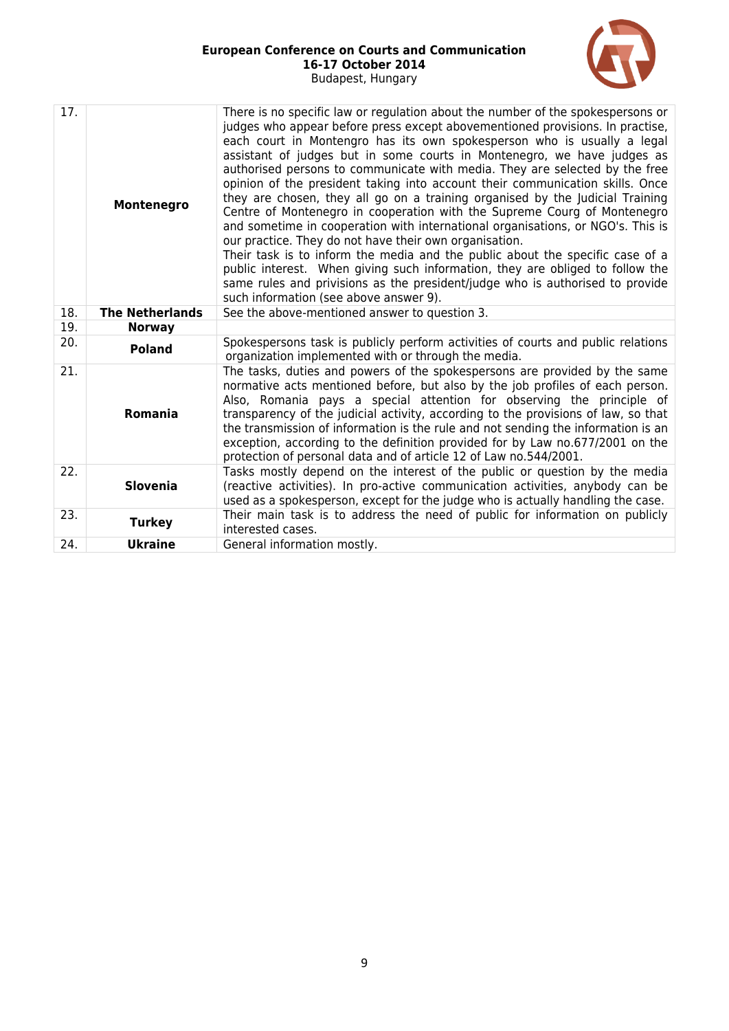

| 17. | Montenegro             | There is no specific law or regulation about the number of the spokespersons or<br>judges who appear before press except abovementioned provisions. In practise,<br>each court in Montengro has its own spokesperson who is usually a legal<br>assistant of judges but in some courts in Montenegro, we have judges as<br>authorised persons to communicate with media. They are selected by the free<br>opinion of the president taking into account their communication skills. Once<br>they are chosen, they all go on a training organised by the Judicial Training<br>Centre of Montenegro in cooperation with the Supreme Courg of Montenegro<br>and sometime in cooperation with international organisations, or NGO's. This is<br>our practice. They do not have their own organisation.<br>Their task is to inform the media and the public about the specific case of a<br>public interest. When giving such information, they are obliged to follow the<br>same rules and privisions as the president/judge who is authorised to provide<br>such information (see above answer 9). |
|-----|------------------------|-----------------------------------------------------------------------------------------------------------------------------------------------------------------------------------------------------------------------------------------------------------------------------------------------------------------------------------------------------------------------------------------------------------------------------------------------------------------------------------------------------------------------------------------------------------------------------------------------------------------------------------------------------------------------------------------------------------------------------------------------------------------------------------------------------------------------------------------------------------------------------------------------------------------------------------------------------------------------------------------------------------------------------------------------------------------------------------------------|
| 18. | <b>The Netherlands</b> | See the above-mentioned answer to question 3.                                                                                                                                                                                                                                                                                                                                                                                                                                                                                                                                                                                                                                                                                                                                                                                                                                                                                                                                                                                                                                                 |
| 19. | <b>Norway</b>          |                                                                                                                                                                                                                                                                                                                                                                                                                                                                                                                                                                                                                                                                                                                                                                                                                                                                                                                                                                                                                                                                                               |
| 20. | <b>Poland</b>          | Spokespersons task is publicly perform activities of courts and public relations<br>organization implemented with or through the media.                                                                                                                                                                                                                                                                                                                                                                                                                                                                                                                                                                                                                                                                                                                                                                                                                                                                                                                                                       |
| 21. | <b>Romania</b>         | The tasks, duties and powers of the spokespersons are provided by the same<br>normative acts mentioned before, but also by the job profiles of each person.<br>Also, Romania pays a special attention for observing the principle of<br>transparency of the judicial activity, according to the provisions of law, so that<br>the transmission of information is the rule and not sending the information is an<br>exception, according to the definition provided for by Law no.677/2001 on the<br>protection of personal data and of article 12 of Law no.544/2001.                                                                                                                                                                                                                                                                                                                                                                                                                                                                                                                         |
| 22. | <b>Slovenia</b>        | Tasks mostly depend on the interest of the public or question by the media<br>(reactive activities). In pro-active communication activities, anybody can be<br>used as a spokesperson, except for the judge who is actually handling the case.                                                                                                                                                                                                                                                                                                                                                                                                                                                                                                                                                                                                                                                                                                                                                                                                                                                |
| 23. | <b>Turkey</b>          | Their main task is to address the need of public for information on publicly<br>interested cases.                                                                                                                                                                                                                                                                                                                                                                                                                                                                                                                                                                                                                                                                                                                                                                                                                                                                                                                                                                                             |
| 24. | <b>Ukraine</b>         | General information mostly.                                                                                                                                                                                                                                                                                                                                                                                                                                                                                                                                                                                                                                                                                                                                                                                                                                                                                                                                                                                                                                                                   |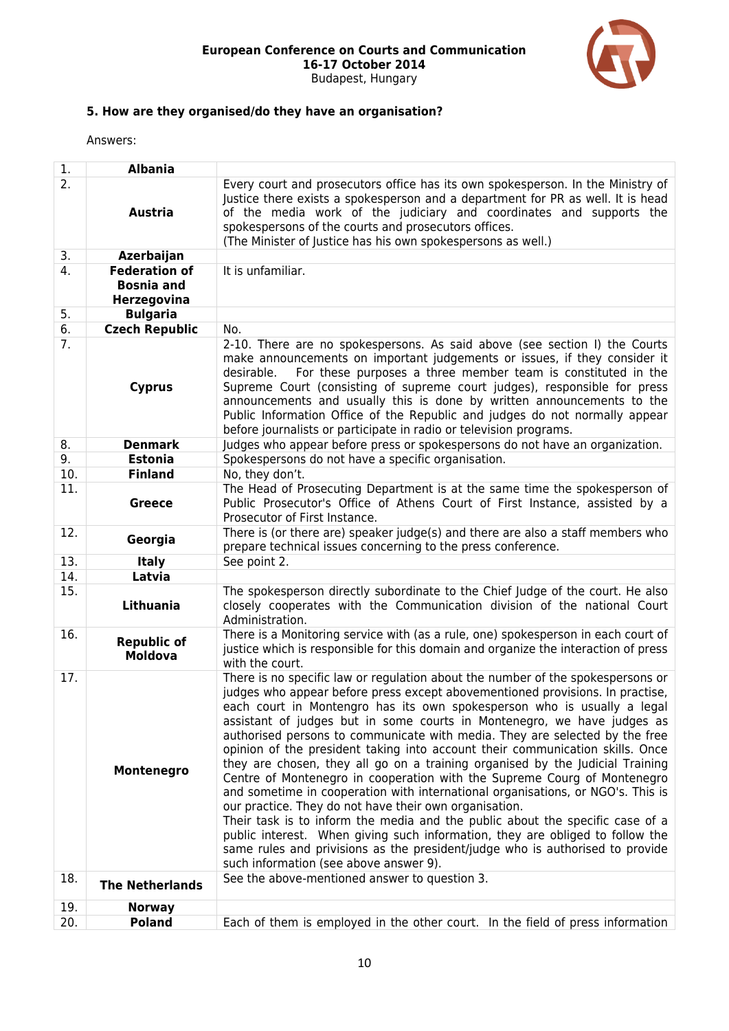

## **5. How are they organised/do they have an organisation?**

| 1.         | <b>Albania</b>                                                              |                                                                                                                                                                                                                                                                                                                                                                                                                                                                                                                                                                                                                                                                                                                                                                                                                                                                                                                                                                                                                                                                                                                                                |
|------------|-----------------------------------------------------------------------------|------------------------------------------------------------------------------------------------------------------------------------------------------------------------------------------------------------------------------------------------------------------------------------------------------------------------------------------------------------------------------------------------------------------------------------------------------------------------------------------------------------------------------------------------------------------------------------------------------------------------------------------------------------------------------------------------------------------------------------------------------------------------------------------------------------------------------------------------------------------------------------------------------------------------------------------------------------------------------------------------------------------------------------------------------------------------------------------------------------------------------------------------|
| 2.         | <b>Austria</b>                                                              | Every court and prosecutors office has its own spokesperson. In the Ministry of<br>Justice there exists a spokesperson and a department for PR as well. It is head<br>of the media work of the judiciary and coordinates and supports the<br>spokespersons of the courts and prosecutors offices.<br>(The Minister of Justice has his own spokespersons as well.)                                                                                                                                                                                                                                                                                                                                                                                                                                                                                                                                                                                                                                                                                                                                                                              |
| 3.         | Azerbaijan                                                                  |                                                                                                                                                                                                                                                                                                                                                                                                                                                                                                                                                                                                                                                                                                                                                                                                                                                                                                                                                                                                                                                                                                                                                |
| 4.<br>5.   | <b>Federation of</b><br><b>Bosnia and</b><br>Herzegovina<br><b>Bulgaria</b> | It is unfamiliar.                                                                                                                                                                                                                                                                                                                                                                                                                                                                                                                                                                                                                                                                                                                                                                                                                                                                                                                                                                                                                                                                                                                              |
|            |                                                                             |                                                                                                                                                                                                                                                                                                                                                                                                                                                                                                                                                                                                                                                                                                                                                                                                                                                                                                                                                                                                                                                                                                                                                |
| 6.         | <b>Czech Republic</b>                                                       | No.                                                                                                                                                                                                                                                                                                                                                                                                                                                                                                                                                                                                                                                                                                                                                                                                                                                                                                                                                                                                                                                                                                                                            |
| 7.         | <b>Cyprus</b>                                                               | 2-10. There are no spokespersons. As said above (see section I) the Courts<br>make announcements on important judgements or issues, if they consider it<br>For these purposes a three member team is constituted in the<br>desirable.<br>Supreme Court (consisting of supreme court judges), responsible for press<br>announcements and usually this is done by written announcements to the<br>Public Information Office of the Republic and judges do not normally appear<br>before journalists or participate in radio or television programs.                                                                                                                                                                                                                                                                                                                                                                                                                                                                                                                                                                                              |
| 8.         | <b>Denmark</b>                                                              | Judges who appear before press or spokespersons do not have an organization.                                                                                                                                                                                                                                                                                                                                                                                                                                                                                                                                                                                                                                                                                                                                                                                                                                                                                                                                                                                                                                                                   |
| 9.         | <b>Estonia</b>                                                              | Spokespersons do not have a specific organisation.                                                                                                                                                                                                                                                                                                                                                                                                                                                                                                                                                                                                                                                                                                                                                                                                                                                                                                                                                                                                                                                                                             |
| 10.        | <b>Finland</b>                                                              | No, they don't.                                                                                                                                                                                                                                                                                                                                                                                                                                                                                                                                                                                                                                                                                                                                                                                                                                                                                                                                                                                                                                                                                                                                |
| 11.        | <b>Greece</b>                                                               | The Head of Prosecuting Department is at the same time the spokesperson of<br>Public Prosecutor's Office of Athens Court of First Instance, assisted by a<br>Prosecutor of First Instance.                                                                                                                                                                                                                                                                                                                                                                                                                                                                                                                                                                                                                                                                                                                                                                                                                                                                                                                                                     |
| 12.        | Georgia                                                                     | There is (or there are) speaker judge(s) and there are also a staff members who<br>prepare technical issues concerning to the press conference.                                                                                                                                                                                                                                                                                                                                                                                                                                                                                                                                                                                                                                                                                                                                                                                                                                                                                                                                                                                                |
| 13.        | <b>Italy</b>                                                                | See point 2.                                                                                                                                                                                                                                                                                                                                                                                                                                                                                                                                                                                                                                                                                                                                                                                                                                                                                                                                                                                                                                                                                                                                   |
| 14.        | Latvia                                                                      |                                                                                                                                                                                                                                                                                                                                                                                                                                                                                                                                                                                                                                                                                                                                                                                                                                                                                                                                                                                                                                                                                                                                                |
| 15.        | Lithuania                                                                   | The spokesperson directly subordinate to the Chief Judge of the court. He also<br>closely cooperates with the Communication division of the national Court<br>Administration.                                                                                                                                                                                                                                                                                                                                                                                                                                                                                                                                                                                                                                                                                                                                                                                                                                                                                                                                                                  |
| 16.        | <b>Republic of</b><br><b>Moldova</b>                                        | There is a Monitoring service with (as a rule, one) spokesperson in each court of<br>justice which is responsible for this domain and organize the interaction of press<br>with the court.                                                                                                                                                                                                                                                                                                                                                                                                                                                                                                                                                                                                                                                                                                                                                                                                                                                                                                                                                     |
| 17.<br>18. | Montenegro                                                                  | There is no specific law or regulation about the number of the spokespersons or<br>judges who appear before press except abovementioned provisions. In practise,<br>each court in Montengro has its own spokesperson who is usually a legal<br>assistant of judges but in some courts in Montenegro, we have judges as<br>authorised persons to communicate with media. They are selected by the free<br>opinion of the president taking into account their communication skills. Once<br>they are chosen, they all go on a training organised by the Judicial Training<br>Centre of Montenegro in cooperation with the Supreme Courg of Montenegro<br>and sometime in cooperation with international organisations, or NGO's. This is<br>our practice. They do not have their own organisation.<br>Their task is to inform the media and the public about the specific case of a<br>public interest. When giving such information, they are obliged to follow the<br>same rules and privisions as the president/judge who is authorised to provide<br>such information (see above answer 9).<br>See the above-mentioned answer to question 3. |
|            | <b>The Netherlands</b>                                                      |                                                                                                                                                                                                                                                                                                                                                                                                                                                                                                                                                                                                                                                                                                                                                                                                                                                                                                                                                                                                                                                                                                                                                |
| 19.        | <b>Norway</b>                                                               |                                                                                                                                                                                                                                                                                                                                                                                                                                                                                                                                                                                                                                                                                                                                                                                                                                                                                                                                                                                                                                                                                                                                                |
| 20.        | <b>Poland</b>                                                               | Each of them is employed in the other court. In the field of press information                                                                                                                                                                                                                                                                                                                                                                                                                                                                                                                                                                                                                                                                                                                                                                                                                                                                                                                                                                                                                                                                 |
|            |                                                                             |                                                                                                                                                                                                                                                                                                                                                                                                                                                                                                                                                                                                                                                                                                                                                                                                                                                                                                                                                                                                                                                                                                                                                |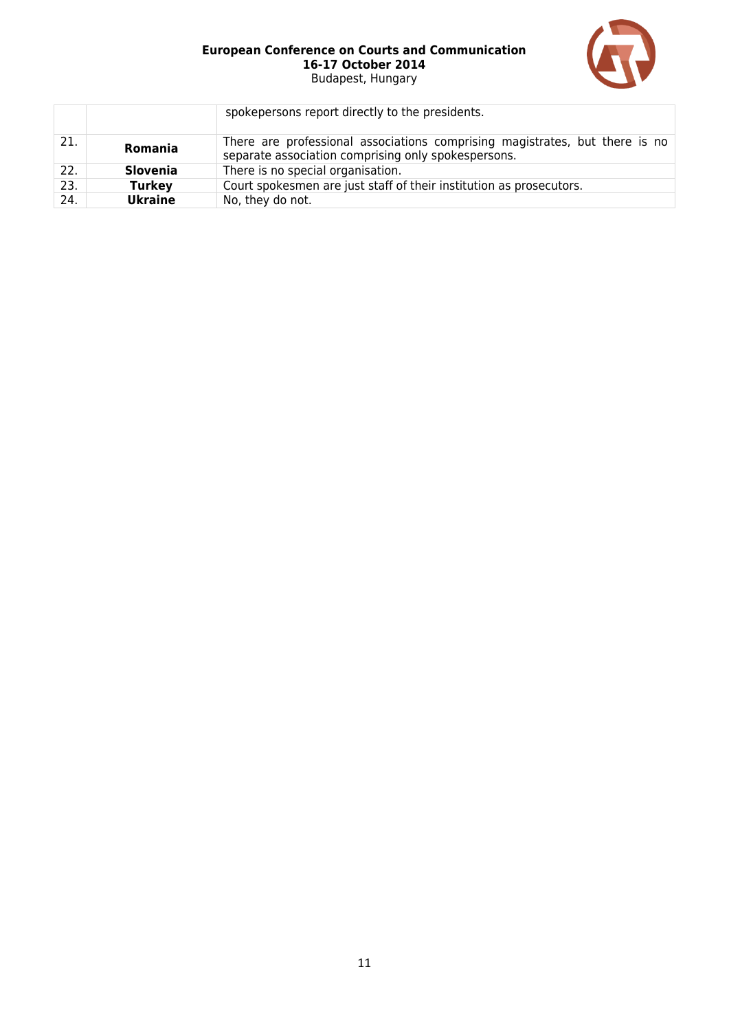

|     |                 | spokepersons report directly to the presidents.                                                                                    |
|-----|-----------------|------------------------------------------------------------------------------------------------------------------------------------|
| 21. | <b>Romania</b>  | There are professional associations comprising magistrates, but there is no<br>separate association comprising only spokespersons. |
| 22. | <b>Slovenia</b> | There is no special organisation.                                                                                                  |
| 23. | <b>Turkey</b>   | Court spokesmen are just staff of their institution as prosecutors.                                                                |
| 24. | <b>Ukraine</b>  | No, they do not.                                                                                                                   |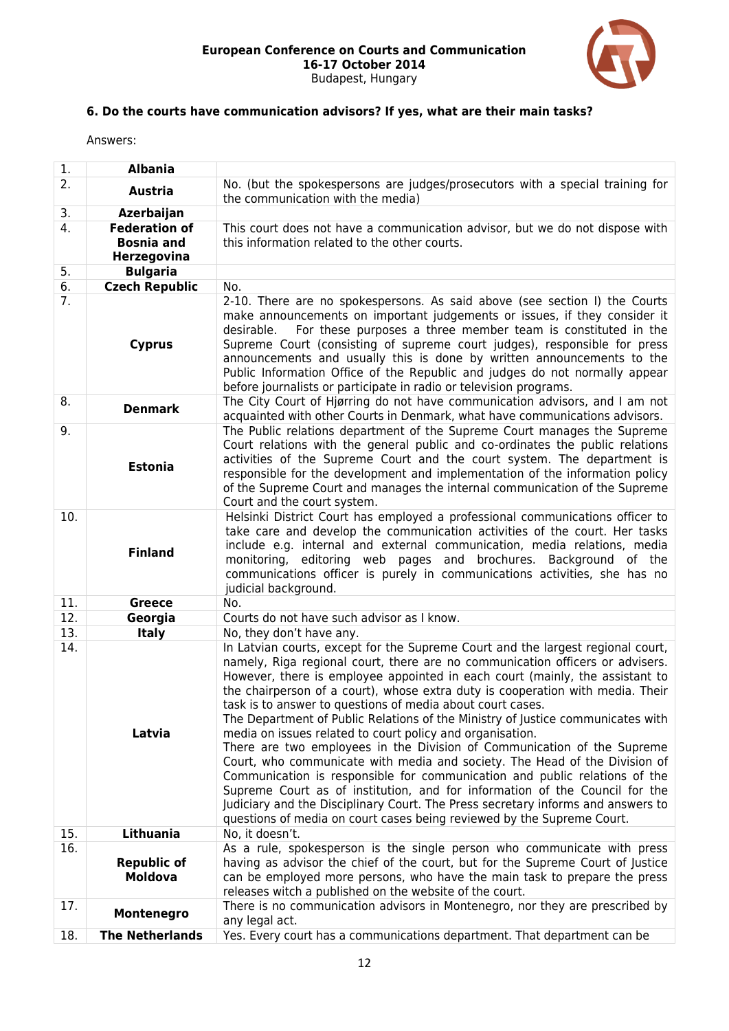

# **6. Do the courts have communication advisors? If yes, what are their main tasks?**

| 1.               | <b>Albania</b>                                           |                                                                                                                                                                                                                                                                                                                                                                                                                                                                                                                                                                                                                                                                                                                                                                                                                                                                                                                                                                                                                                      |
|------------------|----------------------------------------------------------|--------------------------------------------------------------------------------------------------------------------------------------------------------------------------------------------------------------------------------------------------------------------------------------------------------------------------------------------------------------------------------------------------------------------------------------------------------------------------------------------------------------------------------------------------------------------------------------------------------------------------------------------------------------------------------------------------------------------------------------------------------------------------------------------------------------------------------------------------------------------------------------------------------------------------------------------------------------------------------------------------------------------------------------|
| 2.               | <b>Austria</b>                                           | No. (but the spokespersons are judges/prosecutors with a special training for<br>the communication with the media)                                                                                                                                                                                                                                                                                                                                                                                                                                                                                                                                                                                                                                                                                                                                                                                                                                                                                                                   |
| 3.               | Azerbaijan                                               |                                                                                                                                                                                                                                                                                                                                                                                                                                                                                                                                                                                                                                                                                                                                                                                                                                                                                                                                                                                                                                      |
| 4.               | <b>Federation of</b><br><b>Bosnia and</b><br>Herzegovina | This court does not have a communication advisor, but we do not dispose with<br>this information related to the other courts.                                                                                                                                                                                                                                                                                                                                                                                                                                                                                                                                                                                                                                                                                                                                                                                                                                                                                                        |
| 5.               | <b>Bulgaria</b>                                          |                                                                                                                                                                                                                                                                                                                                                                                                                                                                                                                                                                                                                                                                                                                                                                                                                                                                                                                                                                                                                                      |
| 6.               | <b>Czech Republic</b>                                    | No.                                                                                                                                                                                                                                                                                                                                                                                                                                                                                                                                                                                                                                                                                                                                                                                                                                                                                                                                                                                                                                  |
| $\overline{7}$ . | <b>Cyprus</b>                                            | 2-10. There are no spokespersons. As said above (see section I) the Courts<br>make announcements on important judgements or issues, if they consider it<br>For these purposes a three member team is constituted in the<br>desirable.<br>Supreme Court (consisting of supreme court judges), responsible for press<br>announcements and usually this is done by written announcements to the<br>Public Information Office of the Republic and judges do not normally appear<br>before journalists or participate in radio or television programs.                                                                                                                                                                                                                                                                                                                                                                                                                                                                                    |
| 8.               | <b>Denmark</b>                                           | The City Court of Higrring do not have communication advisors, and I am not<br>acquainted with other Courts in Denmark, what have communications advisors.                                                                                                                                                                                                                                                                                                                                                                                                                                                                                                                                                                                                                                                                                                                                                                                                                                                                           |
| 9.               | <b>Estonia</b>                                           | The Public relations department of the Supreme Court manages the Supreme<br>Court relations with the general public and co-ordinates the public relations<br>activities of the Supreme Court and the court system. The department is<br>responsible for the development and implementation of the information policy<br>of the Supreme Court and manages the internal communication of the Supreme<br>Court and the court system.                                                                                                                                                                                                                                                                                                                                                                                                                                                                                                                                                                                                    |
| 10.              | <b>Finland</b>                                           | Helsinki District Court has employed a professional communications officer to<br>take care and develop the communication activities of the court. Her tasks<br>include e.g. internal and external communication, media relations, media<br>monitoring, editoring web pages and brochures. Background of the<br>communications officer is purely in communications activities, she has no<br>judicial background.                                                                                                                                                                                                                                                                                                                                                                                                                                                                                                                                                                                                                     |
| 11.              | <b>Greece</b>                                            | No.                                                                                                                                                                                                                                                                                                                                                                                                                                                                                                                                                                                                                                                                                                                                                                                                                                                                                                                                                                                                                                  |
| 12.              | Georgia                                                  | Courts do not have such advisor as I know.                                                                                                                                                                                                                                                                                                                                                                                                                                                                                                                                                                                                                                                                                                                                                                                                                                                                                                                                                                                           |
| 13.              | <b>Italy</b>                                             | No, they don't have any.                                                                                                                                                                                                                                                                                                                                                                                                                                                                                                                                                                                                                                                                                                                                                                                                                                                                                                                                                                                                             |
| 14.              | Latvia                                                   | In Latvian courts, except for the Supreme Court and the largest regional court,<br>namely, Riga regional court, there are no communication officers or advisers.<br>However, there is employee appointed in each court (mainly, the assistant to<br>the chairperson of a court), whose extra duty is cooperation with media. Their<br>task is to answer to questions of media about court cases.<br>The Department of Public Relations of the Ministry of Justice communicates with<br>media on issues related to court policy and organisation.<br>There are two employees in the Division of Communication of the Supreme<br>Court, who communicate with media and society. The Head of the Division of<br>Communication is responsible for communication and public relations of the<br>Supreme Court as of institution, and for information of the Council for the<br>Judiciary and the Disciplinary Court. The Press secretary informs and answers to<br>questions of media on court cases being reviewed by the Supreme Court. |
| 15.              | Lithuania                                                | No, it doesn't.                                                                                                                                                                                                                                                                                                                                                                                                                                                                                                                                                                                                                                                                                                                                                                                                                                                                                                                                                                                                                      |
| 16.              | <b>Republic of</b><br><b>Moldova</b>                     | As a rule, spokesperson is the single person who communicate with press<br>having as advisor the chief of the court, but for the Supreme Court of Justice<br>can be employed more persons, who have the main task to prepare the press<br>releases witch a published on the website of the court.                                                                                                                                                                                                                                                                                                                                                                                                                                                                                                                                                                                                                                                                                                                                    |
| 17.              | Montenegro                                               | There is no communication advisors in Montenegro, nor they are prescribed by<br>any legal act.                                                                                                                                                                                                                                                                                                                                                                                                                                                                                                                                                                                                                                                                                                                                                                                                                                                                                                                                       |
| 18.              | <b>The Netherlands</b>                                   | Yes. Every court has a communications department. That department can be                                                                                                                                                                                                                                                                                                                                                                                                                                                                                                                                                                                                                                                                                                                                                                                                                                                                                                                                                             |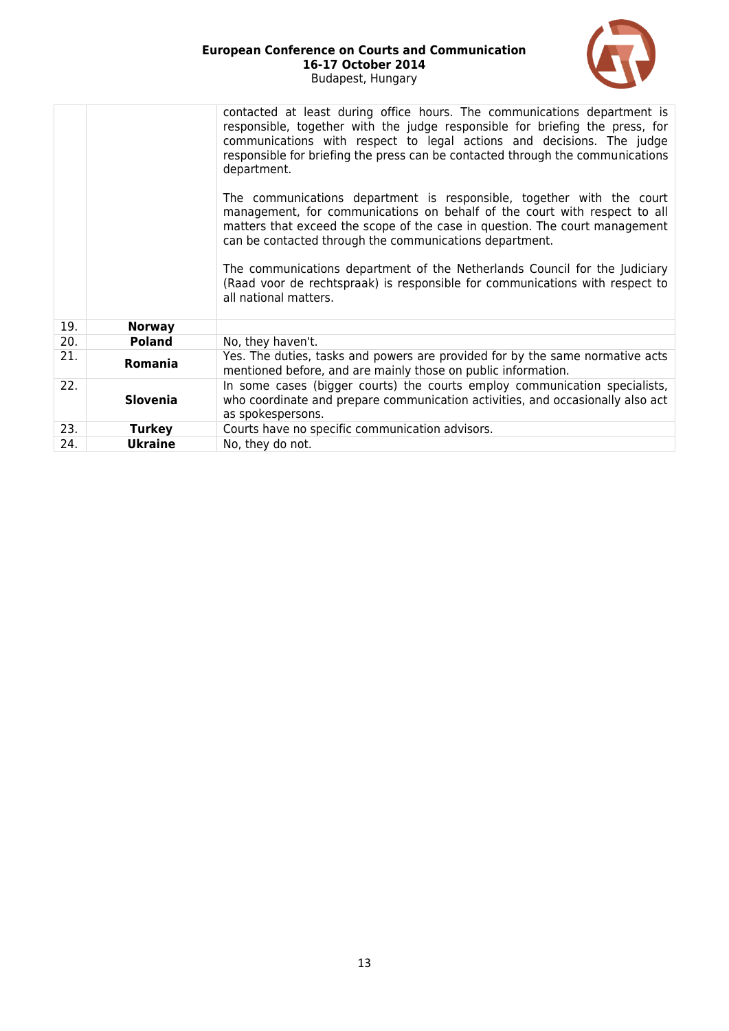| <b>European Conference on Courts and Communication</b> |  |
|--------------------------------------------------------|--|
| 16-17 October 2014                                     |  |
| Budapest, Hungary                                      |  |



|     |                 | contacted at least during office hours. The communications department is<br>responsible, together with the judge responsible for briefing the press, for<br>communications with respect to legal actions and decisions. The judge<br>responsible for briefing the press can be contacted through the communications<br>department.<br>The communications department is responsible, together with the court<br>management, for communications on behalf of the court with respect to all<br>matters that exceed the scope of the case in question. The court management<br>can be contacted through the communications department.<br>The communications department of the Netherlands Council for the Judiciary<br>(Raad voor de rechtspraak) is responsible for communications with respect to<br>all national matters. |
|-----|-----------------|---------------------------------------------------------------------------------------------------------------------------------------------------------------------------------------------------------------------------------------------------------------------------------------------------------------------------------------------------------------------------------------------------------------------------------------------------------------------------------------------------------------------------------------------------------------------------------------------------------------------------------------------------------------------------------------------------------------------------------------------------------------------------------------------------------------------------|
| 19. | <b>Norway</b>   |                                                                                                                                                                                                                                                                                                                                                                                                                                                                                                                                                                                                                                                                                                                                                                                                                           |
| 20. | <b>Poland</b>   | No, they haven't.                                                                                                                                                                                                                                                                                                                                                                                                                                                                                                                                                                                                                                                                                                                                                                                                         |
| 21. | Romania         | Yes. The duties, tasks and powers are provided for by the same normative acts<br>mentioned before, and are mainly those on public information.                                                                                                                                                                                                                                                                                                                                                                                                                                                                                                                                                                                                                                                                            |
| 22. | <b>Slovenia</b> | In some cases (bigger courts) the courts employ communication specialists,<br>who coordinate and prepare communication activities, and occasionally also act<br>as spokespersons.                                                                                                                                                                                                                                                                                                                                                                                                                                                                                                                                                                                                                                         |
| 23. | <b>Turkey</b>   | Courts have no specific communication advisors.                                                                                                                                                                                                                                                                                                                                                                                                                                                                                                                                                                                                                                                                                                                                                                           |
| 24. | <b>Ukraine</b>  | No, they do not.                                                                                                                                                                                                                                                                                                                                                                                                                                                                                                                                                                                                                                                                                                                                                                                                          |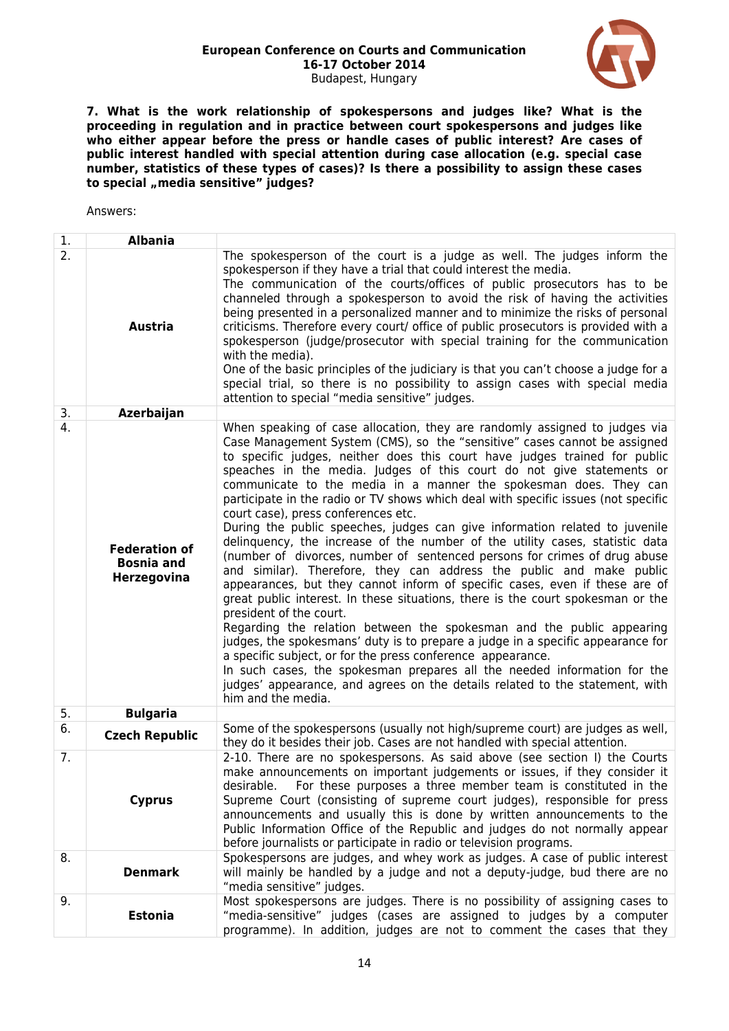

**7. What is the work relationship of spokespersons and judges like? What is the proceeding in regulation and in practice between court spokespersons and judges like who either appear before the press or handle cases of public interest? Are cases of public interest handled with special attention during case allocation (e.g. special case number, statistics of these types of cases)? Is there a possibility to assign these cases to special "media sensitive" judges?**

| 1.               | <b>Albania</b>                                                  |                                                                                                                                                                                                                                                                                                                                                                                                                                                                                                                                                                                                                                                                                                                                                                                                                                                                                                                                                                                                                                                                                                                                                                                                                                                                                                                                                                                                                                                |
|------------------|-----------------------------------------------------------------|------------------------------------------------------------------------------------------------------------------------------------------------------------------------------------------------------------------------------------------------------------------------------------------------------------------------------------------------------------------------------------------------------------------------------------------------------------------------------------------------------------------------------------------------------------------------------------------------------------------------------------------------------------------------------------------------------------------------------------------------------------------------------------------------------------------------------------------------------------------------------------------------------------------------------------------------------------------------------------------------------------------------------------------------------------------------------------------------------------------------------------------------------------------------------------------------------------------------------------------------------------------------------------------------------------------------------------------------------------------------------------------------------------------------------------------------|
| $\overline{2}$ . | <b>Austria</b>                                                  | The spokesperson of the court is a judge as well. The judges inform the<br>spokesperson if they have a trial that could interest the media.<br>The communication of the courts/offices of public prosecutors has to be<br>channeled through a spokesperson to avoid the risk of having the activities<br>being presented in a personalized manner and to minimize the risks of personal<br>criticisms. Therefore every court/ office of public prosecutors is provided with a<br>spokesperson (judge/prosecutor with special training for the communication<br>with the media).<br>One of the basic principles of the judiciary is that you can't choose a judge for a<br>special trial, so there is no possibility to assign cases with special media<br>attention to special "media sensitive" judges.                                                                                                                                                                                                                                                                                                                                                                                                                                                                                                                                                                                                                                       |
| 3.               | Azerbaijan                                                      |                                                                                                                                                                                                                                                                                                                                                                                                                                                                                                                                                                                                                                                                                                                                                                                                                                                                                                                                                                                                                                                                                                                                                                                                                                                                                                                                                                                                                                                |
| 4.               | <b>Federation of</b><br><b>Bosnia and</b><br><b>Herzegovina</b> | When speaking of case allocation, they are randomly assigned to judges via<br>Case Management System (CMS), so the "sensitive" cases cannot be assigned<br>to specific judges, neither does this court have judges trained for public<br>speaches in the media. Judges of this court do not give statements or<br>communicate to the media in a manner the spokesman does. They can<br>participate in the radio or TV shows which deal with specific issues (not specific<br>court case), press conferences etc.<br>During the public speeches, judges can give information related to juvenile<br>delinguency, the increase of the number of the utility cases, statistic data<br>(number of divorces, number of sentenced persons for crimes of drug abuse<br>and similar). Therefore, they can address the public and make public<br>appearances, but they cannot inform of specific cases, even if these are of<br>great public interest. In these situations, there is the court spokesman or the<br>president of the court.<br>Regarding the relation between the spokesman and the public appearing<br>judges, the spokesmans' duty is to prepare a judge in a specific appearance for<br>a specific subject, or for the press conference appearance.<br>In such cases, the spokesman prepares all the needed information for the<br>judges' appearance, and agrees on the details related to the statement, with<br>him and the media. |
| 5.               | <b>Bulgaria</b>                                                 |                                                                                                                                                                                                                                                                                                                                                                                                                                                                                                                                                                                                                                                                                                                                                                                                                                                                                                                                                                                                                                                                                                                                                                                                                                                                                                                                                                                                                                                |
| 6.               | <b>Czech Republic</b>                                           | Some of the spokespersons (usually not high/supreme court) are judges as well,<br>they do it besides their job. Cases are not handled with special attention.                                                                                                                                                                                                                                                                                                                                                                                                                                                                                                                                                                                                                                                                                                                                                                                                                                                                                                                                                                                                                                                                                                                                                                                                                                                                                  |
| 7.               | <b>Cyprus</b>                                                   | 2-10. There are no spokespersons. As said above (see section I) the Courts<br>make announcements on important judgements or issues, if they consider it<br>For these purposes a three member team is constituted in the<br>desirable.<br>Supreme Court (consisting of supreme court judges), responsible for press<br>announcements and usually this is done by written announcements to the<br>Public Information Office of the Republic and judges do not normally appear<br>before journalists or participate in radio or television programs.                                                                                                                                                                                                                                                                                                                                                                                                                                                                                                                                                                                                                                                                                                                                                                                                                                                                                              |
| 8.               | <b>Denmark</b>                                                  | Spokespersons are judges, and whey work as judges. A case of public interest<br>will mainly be handled by a judge and not a deputy-judge, bud there are no<br>"media sensitive" judges.                                                                                                                                                                                                                                                                                                                                                                                                                                                                                                                                                                                                                                                                                                                                                                                                                                                                                                                                                                                                                                                                                                                                                                                                                                                        |
| 9.               | <b>Estonia</b>                                                  | Most spokespersons are judges. There is no possibility of assigning cases to<br>"media-sensitive" judges (cases are assigned to judges by a computer<br>programme). In addition, judges are not to comment the cases that they                                                                                                                                                                                                                                                                                                                                                                                                                                                                                                                                                                                                                                                                                                                                                                                                                                                                                                                                                                                                                                                                                                                                                                                                                 |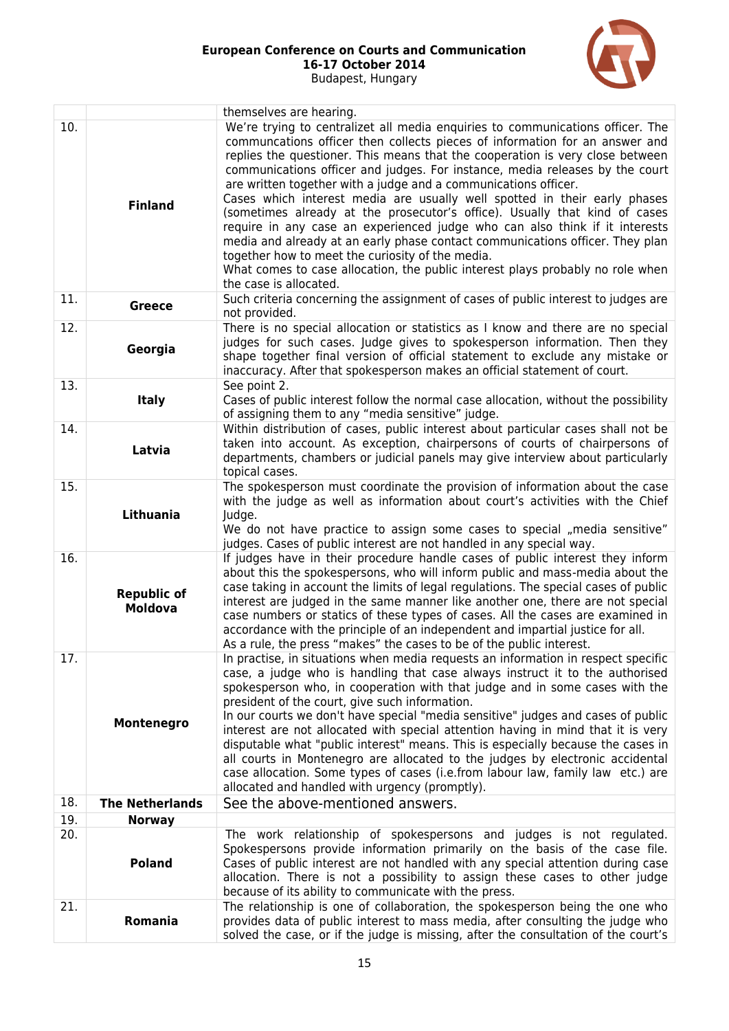

|     |                                      | themselves are hearing.                                                                                                                                                                                                                                                                                                                                                                                                                                                                                                                                                                                                                                                                                                                                                                                                                                                                      |
|-----|--------------------------------------|----------------------------------------------------------------------------------------------------------------------------------------------------------------------------------------------------------------------------------------------------------------------------------------------------------------------------------------------------------------------------------------------------------------------------------------------------------------------------------------------------------------------------------------------------------------------------------------------------------------------------------------------------------------------------------------------------------------------------------------------------------------------------------------------------------------------------------------------------------------------------------------------|
| 10. | <b>Finland</b>                       | We're trying to centralizet all media enguiries to communications officer. The<br>communcations officer then collects pieces of information for an answer and<br>replies the questioner. This means that the cooperation is very close between<br>communications officer and judges. For instance, media releases by the court<br>are written together with a judge and a communications officer.<br>Cases which interest media are usually well spotted in their early phases<br>(sometimes already at the prosecutor's office). Usually that kind of cases<br>require in any case an experienced judge who can also think if it interests<br>media and already at an early phase contact communications officer. They plan<br>together how to meet the curiosity of the media.<br>What comes to case allocation, the public interest plays probably no role when<br>the case is allocated. |
| 11. | <b>Greece</b>                        | Such criteria concerning the assignment of cases of public interest to judges are<br>not provided.                                                                                                                                                                                                                                                                                                                                                                                                                                                                                                                                                                                                                                                                                                                                                                                           |
| 12. | Georgia                              | There is no special allocation or statistics as I know and there are no special<br>judges for such cases. Judge gives to spokesperson information. Then they<br>shape together final version of official statement to exclude any mistake or<br>inaccuracy. After that spokesperson makes an official statement of court.                                                                                                                                                                                                                                                                                                                                                                                                                                                                                                                                                                    |
| 13. | <b>Italy</b>                         | See point 2.<br>Cases of public interest follow the normal case allocation, without the possibility<br>of assigning them to any "media sensitive" judge.                                                                                                                                                                                                                                                                                                                                                                                                                                                                                                                                                                                                                                                                                                                                     |
| 14. | Latvia                               | Within distribution of cases, public interest about particular cases shall not be<br>taken into account. As exception, chairpersons of courts of chairpersons of<br>departments, chambers or judicial panels may give interview about particularly<br>topical cases.                                                                                                                                                                                                                                                                                                                                                                                                                                                                                                                                                                                                                         |
| 15. | Lithuania                            | The spokesperson must coordinate the provision of information about the case<br>with the judge as well as information about court's activities with the Chief<br>Judge.<br>We do not have practice to assign some cases to special "media sensitive"<br>judges. Cases of public interest are not handled in any special way.                                                                                                                                                                                                                                                                                                                                                                                                                                                                                                                                                                 |
| 16. | <b>Republic of</b><br><b>Moldova</b> | If judges have in their procedure handle cases of public interest they inform<br>about this the spokespersons, who will inform public and mass-media about the<br>case taking in account the limits of legal regulations. The special cases of public<br>interest are judged in the same manner like another one, there are not special<br>case numbers or statics of these types of cases. All the cases are examined in<br>accordance with the principle of an independent and impartial justice for all.<br>As a rule, the press "makes" the cases to be of the public interest.                                                                                                                                                                                                                                                                                                          |
| 17. | Montenegro                           | In practise, in situations when media requests an information in respect specific<br>case, a judge who is handling that case always instruct it to the authorised<br>spokesperson who, in cooperation with that judge and in some cases with the<br>president of the court, give such information.<br>In our courts we don't have special "media sensitive" judges and cases of public<br>interest are not allocated with special attention having in mind that it is very<br>disputable what "public interest" means. This is especially because the cases in<br>all courts in Montenegro are allocated to the judges by electronic accidental<br>case allocation. Some types of cases (i.e.from labour law, family law etc.) are<br>allocated and handled with urgency (promptly).                                                                                                         |
| 18. | <b>The Netherlands</b>               | See the above-mentioned answers.                                                                                                                                                                                                                                                                                                                                                                                                                                                                                                                                                                                                                                                                                                                                                                                                                                                             |
| 19. | <b>Norway</b>                        |                                                                                                                                                                                                                                                                                                                                                                                                                                                                                                                                                                                                                                                                                                                                                                                                                                                                                              |
| 20. | <b>Poland</b>                        | The work relationship of spokespersons and judges is not regulated.<br>Spokespersons provide information primarily on the basis of the case file.<br>Cases of public interest are not handled with any special attention during case<br>allocation. There is not a possibility to assign these cases to other judge<br>because of its ability to communicate with the press.                                                                                                                                                                                                                                                                                                                                                                                                                                                                                                                 |
| 21. | Romania                              | The relationship is one of collaboration, the spokesperson being the one who<br>provides data of public interest to mass media, after consulting the judge who<br>solved the case, or if the judge is missing, after the consultation of the court's                                                                                                                                                                                                                                                                                                                                                                                                                                                                                                                                                                                                                                         |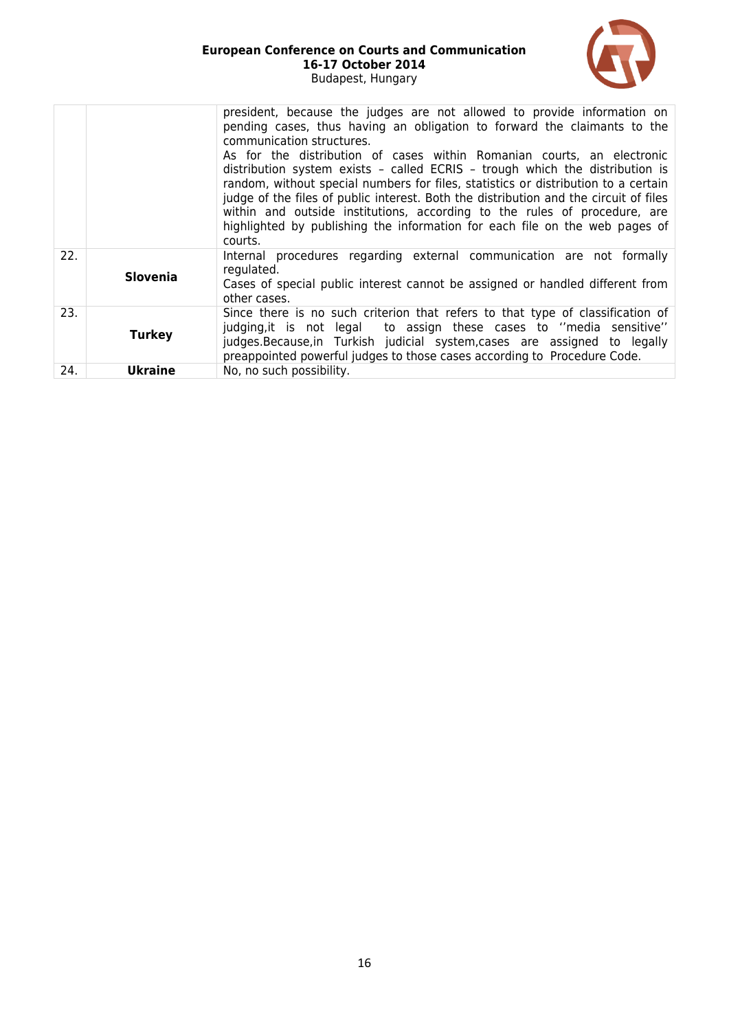

| 22. |                 | president, because the judges are not allowed to provide information on<br>pending cases, thus having an obligation to forward the claimants to the<br>communication structures.<br>As for the distribution of cases within Romanian courts, an electronic<br>distribution system exists - called ECRIS - trough which the distribution is<br>random, without special numbers for files, statistics or distribution to a certain<br>judge of the files of public interest. Both the distribution and the circuit of files<br>within and outside institutions, according to the rules of procedure, are<br>highlighted by publishing the information for each file on the web pages of<br>courts. |
|-----|-----------------|--------------------------------------------------------------------------------------------------------------------------------------------------------------------------------------------------------------------------------------------------------------------------------------------------------------------------------------------------------------------------------------------------------------------------------------------------------------------------------------------------------------------------------------------------------------------------------------------------------------------------------------------------------------------------------------------------|
|     | <b>Slovenia</b> | Internal procedures regarding external communication are not formally<br>regulated.<br>Cases of special public interest cannot be assigned or handled different from<br>other cases.                                                                                                                                                                                                                                                                                                                                                                                                                                                                                                             |
| 23. | <b>Turkey</b>   | Since there is no such criterion that refers to that type of classification of<br>judging, it is not legal to assign these cases to "media sensitive"<br>judges. Because, in Turkish judicial system, cases are assigned to legally<br>preappointed powerful judges to those cases according to Procedure Code.                                                                                                                                                                                                                                                                                                                                                                                  |
| 24. | <b>Ukraine</b>  | No, no such possibility.                                                                                                                                                                                                                                                                                                                                                                                                                                                                                                                                                                                                                                                                         |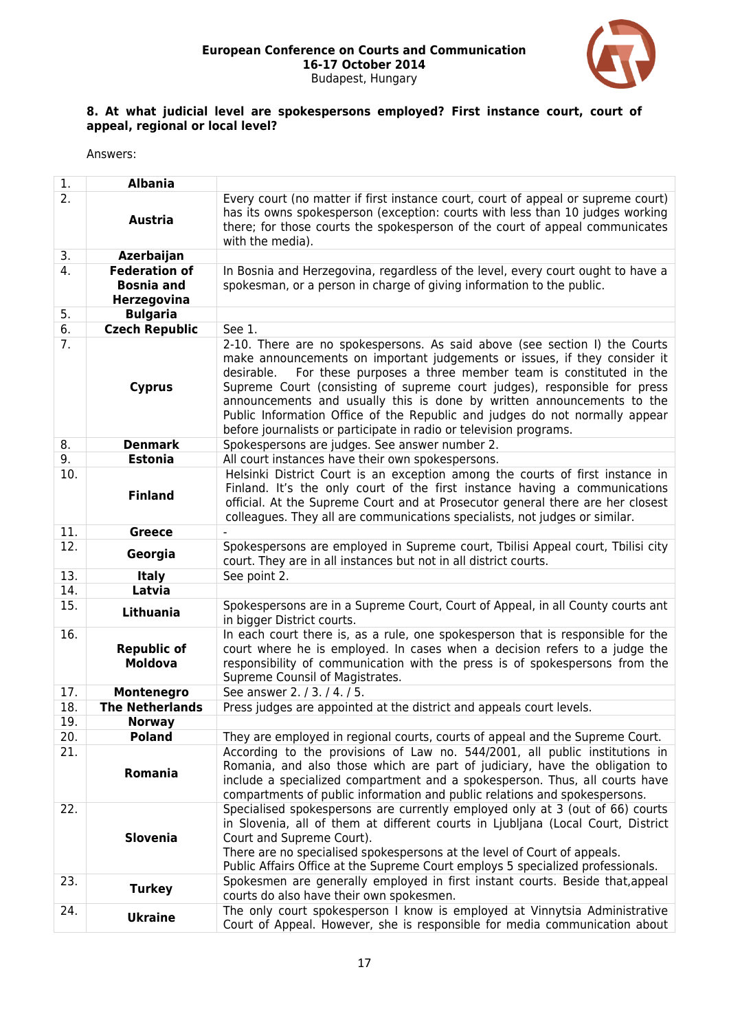

### **8. At what judicial level are spokespersons employed? First instance court, court of appeal, regional or local level?**

| 1.  | <b>Albania</b>                                           |                                                                                                                                                                                                                                                                                                                                                                                                                                                                                                                                                   |
|-----|----------------------------------------------------------|---------------------------------------------------------------------------------------------------------------------------------------------------------------------------------------------------------------------------------------------------------------------------------------------------------------------------------------------------------------------------------------------------------------------------------------------------------------------------------------------------------------------------------------------------|
| 2.  | <b>Austria</b>                                           | Every court (no matter if first instance court, court of appeal or supreme court)<br>has its owns spokesperson (exception: courts with less than 10 judges working<br>there; for those courts the spokesperson of the court of appeal communicates<br>with the media).                                                                                                                                                                                                                                                                            |
| 3.  | Azerbaijan                                               |                                                                                                                                                                                                                                                                                                                                                                                                                                                                                                                                                   |
| 4.  | <b>Federation of</b><br><b>Bosnia and</b><br>Herzegovina | In Bosnia and Herzegovina, regardless of the level, every court ought to have a<br>spokesman, or a person in charge of giving information to the public.                                                                                                                                                                                                                                                                                                                                                                                          |
| 5.  | <b>Bulgaria</b>                                          |                                                                                                                                                                                                                                                                                                                                                                                                                                                                                                                                                   |
| 6.  | <b>Czech Republic</b>                                    | See 1.                                                                                                                                                                                                                                                                                                                                                                                                                                                                                                                                            |
| 7.  | <b>Cyprus</b>                                            | 2-10. There are no spokespersons. As said above (see section I) the Courts<br>make announcements on important judgements or issues, if they consider it<br>For these purposes a three member team is constituted in the<br>desirable.<br>Supreme Court (consisting of supreme court judges), responsible for press<br>announcements and usually this is done by written announcements to the<br>Public Information Office of the Republic and judges do not normally appear<br>before journalists or participate in radio or television programs. |
| 8.  | <b>Denmark</b>                                           | Spokespersons are judges. See answer number 2.                                                                                                                                                                                                                                                                                                                                                                                                                                                                                                    |
| 9.  | <b>Estonia</b>                                           | All court instances have their own spokespersons.                                                                                                                                                                                                                                                                                                                                                                                                                                                                                                 |
| 10. | <b>Finland</b>                                           | Helsinki District Court is an exception among the courts of first instance in<br>Finland. It's the only court of the first instance having a communications<br>official. At the Supreme Court and at Prosecutor general there are her closest<br>colleagues. They all are communications specialists, not judges or similar.                                                                                                                                                                                                                      |
| 11. | <b>Greece</b>                                            |                                                                                                                                                                                                                                                                                                                                                                                                                                                                                                                                                   |
| 12. | Georgia                                                  | Spokespersons are employed in Supreme court, Tbilisi Appeal court, Tbilisi city<br>court. They are in all instances but not in all district courts.                                                                                                                                                                                                                                                                                                                                                                                               |
| 13. | <b>Italy</b>                                             | See point 2.                                                                                                                                                                                                                                                                                                                                                                                                                                                                                                                                      |
| 14. | Latvia                                                   |                                                                                                                                                                                                                                                                                                                                                                                                                                                                                                                                                   |
| 15. | Lithuania                                                | Spokespersons are in a Supreme Court, Court of Appeal, in all County courts ant<br>in bigger District courts.                                                                                                                                                                                                                                                                                                                                                                                                                                     |
| 16. | <b>Republic of</b><br><b>Moldova</b>                     | In each court there is, as a rule, one spokesperson that is responsible for the<br>court where he is employed. In cases when a decision refers to a judge the<br>responsibility of communication with the press is of spokespersons from the<br>Supreme Counsil of Magistrates.                                                                                                                                                                                                                                                                   |
| 17. | Montenegro                                               | See answer 2. / 3. / 4. / 5.                                                                                                                                                                                                                                                                                                                                                                                                                                                                                                                      |
| 18. | <b>The Netherlands</b>                                   | Press judges are appointed at the district and appeals court levels.                                                                                                                                                                                                                                                                                                                                                                                                                                                                              |
| 19. | <b>Norway</b>                                            |                                                                                                                                                                                                                                                                                                                                                                                                                                                                                                                                                   |
| 20. | <b>Poland</b>                                            | They are employed in regional courts, courts of appeal and the Supreme Court.                                                                                                                                                                                                                                                                                                                                                                                                                                                                     |
| 21. | Romania                                                  | According to the provisions of Law no. 544/2001, all public institutions in<br>Romania, and also those which are part of judiciary, have the obligation to<br>include a specialized compartment and a spokesperson. Thus, all courts have<br>compartments of public information and public relations and spokespersons.                                                                                                                                                                                                                           |
| 22. | <b>Slovenia</b>                                          | Specialised spokespersons are currently employed only at 3 (out of 66) courts<br>in Slovenia, all of them at different courts in Ljubljana (Local Court, District<br>Court and Supreme Court).<br>There are no specialised spokespersons at the level of Court of appeals.<br>Public Affairs Office at the Supreme Court employs 5 specialized professionals.                                                                                                                                                                                     |
| 23. | <b>Turkey</b>                                            | Spokesmen are generally employed in first instant courts. Beside that, appeal<br>courts do also have their own spokesmen.                                                                                                                                                                                                                                                                                                                                                                                                                         |
| 24. | <b>Ukraine</b>                                           | The only court spokesperson I know is employed at Vinnytsia Administrative<br>Court of Appeal. However, she is responsible for media communication about                                                                                                                                                                                                                                                                                                                                                                                          |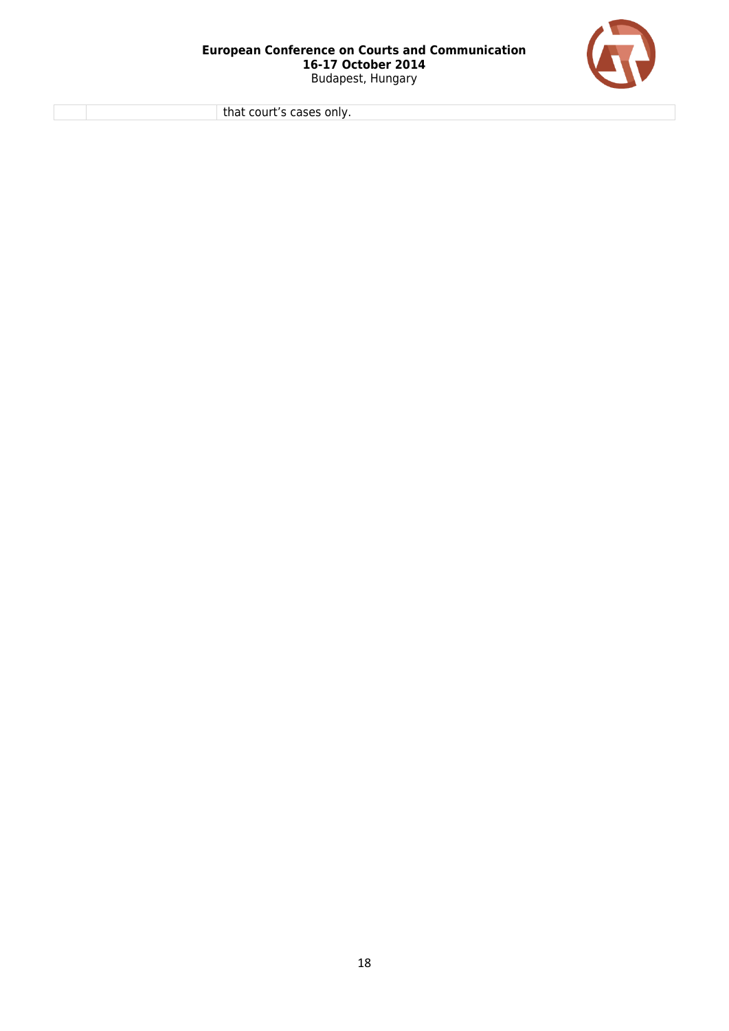

that court's cases only.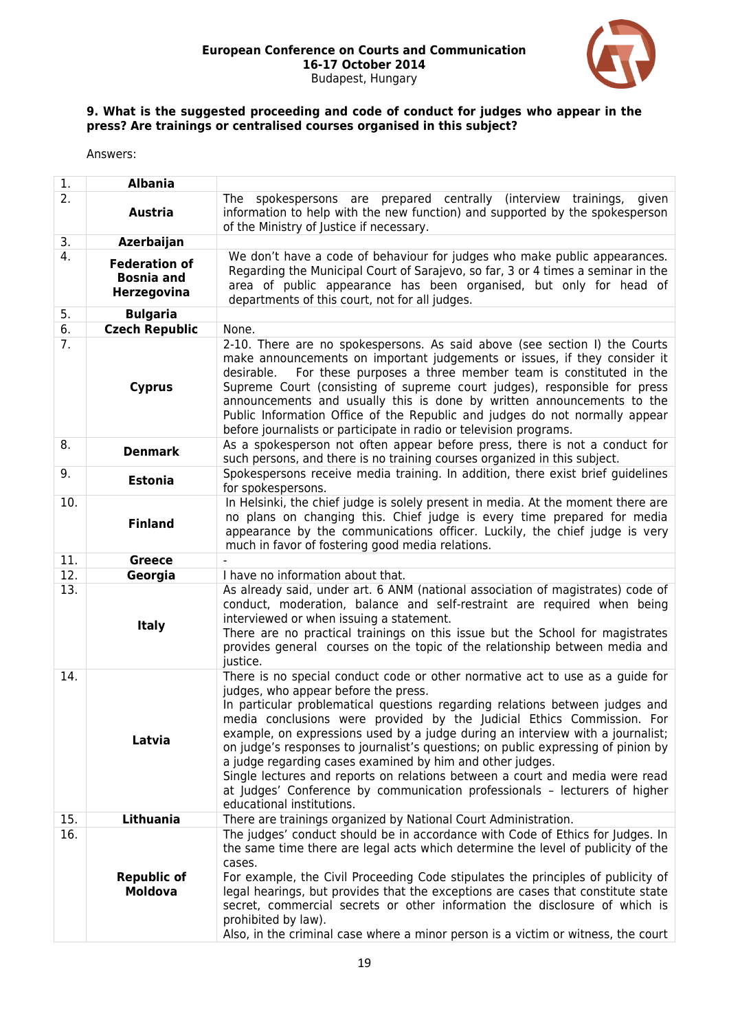

### **9. What is the suggested proceeding and code of conduct for judges who appear in the press? Are trainings or centralised courses organised in this subject?**

| 1.  | <b>Albania</b>                                           |                                                                                                                                                                                                                                                                                                                                                                                                                                                                                                                                                                                                                                                                                                                |
|-----|----------------------------------------------------------|----------------------------------------------------------------------------------------------------------------------------------------------------------------------------------------------------------------------------------------------------------------------------------------------------------------------------------------------------------------------------------------------------------------------------------------------------------------------------------------------------------------------------------------------------------------------------------------------------------------------------------------------------------------------------------------------------------------|
| 2.  | <b>Austria</b>                                           | spokespersons are prepared centrally (interview trainings,<br>given<br>The<br>information to help with the new function) and supported by the spokesperson<br>of the Ministry of Justice if necessary.                                                                                                                                                                                                                                                                                                                                                                                                                                                                                                         |
| 3.  | Azerbaijan                                               |                                                                                                                                                                                                                                                                                                                                                                                                                                                                                                                                                                                                                                                                                                                |
| 4.  | <b>Federation of</b><br><b>Bosnia and</b><br>Herzegovina | We don't have a code of behaviour for judges who make public appearances.<br>Regarding the Municipal Court of Sarajevo, so far, 3 or 4 times a seminar in the<br>area of public appearance has been organised, but only for head of<br>departments of this court, not for all judges.                                                                                                                                                                                                                                                                                                                                                                                                                          |
| 5.  | <b>Bulgaria</b>                                          |                                                                                                                                                                                                                                                                                                                                                                                                                                                                                                                                                                                                                                                                                                                |
| 6.  | <b>Czech Republic</b>                                    | None.                                                                                                                                                                                                                                                                                                                                                                                                                                                                                                                                                                                                                                                                                                          |
| 7.  | <b>Cyprus</b>                                            | 2-10. There are no spokespersons. As said above (see section I) the Courts<br>make announcements on important judgements or issues, if they consider it<br>For these purposes a three member team is constituted in the<br>desirable.<br>Supreme Court (consisting of supreme court judges), responsible for press<br>announcements and usually this is done by written announcements to the<br>Public Information Office of the Republic and judges do not normally appear<br>before journalists or participate in radio or television programs.                                                                                                                                                              |
| 8.  | <b>Denmark</b>                                           | As a spokesperson not often appear before press, there is not a conduct for<br>such persons, and there is no training courses organized in this subject.                                                                                                                                                                                                                                                                                                                                                                                                                                                                                                                                                       |
| 9.  | <b>Estonia</b>                                           | Spokespersons receive media training. In addition, there exist brief guidelines<br>for spokespersons.                                                                                                                                                                                                                                                                                                                                                                                                                                                                                                                                                                                                          |
| 10. | <b>Finland</b>                                           | In Helsinki, the chief judge is solely present in media. At the moment there are<br>no plans on changing this. Chief judge is every time prepared for media<br>appearance by the communications officer. Luckily, the chief judge is very<br>much in favor of fostering good media relations.                                                                                                                                                                                                                                                                                                                                                                                                                  |
| 11. | <b>Greece</b>                                            |                                                                                                                                                                                                                                                                                                                                                                                                                                                                                                                                                                                                                                                                                                                |
| 12. | Georgia                                                  | I have no information about that.                                                                                                                                                                                                                                                                                                                                                                                                                                                                                                                                                                                                                                                                              |
| 13. | <b>Italy</b>                                             | As already said, under art. 6 ANM (national association of magistrates) code of<br>conduct, moderation, balance and self-restraint are required when being<br>interviewed or when issuing a statement.<br>There are no practical trainings on this issue but the School for magistrates<br>provides general courses on the topic of the relationship between media and<br>justice.                                                                                                                                                                                                                                                                                                                             |
| 14. | Latvia                                                   | There is no special conduct code or other normative act to use as a guide for<br>judges, who appear before the press.<br>In particular problematical questions regarding relations between judges and<br>media conclusions were provided by the Judicial Ethics Commission. For<br>example, on expressions used by a judge during an interview with a journalist;<br>on judge's responses to journalist's questions; on public expressing of pinion by<br>a judge regarding cases examined by him and other judges.<br>Single lectures and reports on relations between a court and media were read<br>at Judges' Conference by communication professionals - lecturers of higher<br>educational institutions. |
| 15. | Lithuania                                                | There are trainings organized by National Court Administration.                                                                                                                                                                                                                                                                                                                                                                                                                                                                                                                                                                                                                                                |
| 16. | <b>Republic of</b><br><b>Moldova</b>                     | The judges' conduct should be in accordance with Code of Ethics for Judges. In<br>the same time there are legal acts which determine the level of publicity of the<br>cases.<br>For example, the Civil Proceeding Code stipulates the principles of publicity of<br>legal hearings, but provides that the exceptions are cases that constitute state<br>secret, commercial secrets or other information the disclosure of which is<br>prohibited by law).<br>Also, in the criminal case where a minor person is a victim or witness, the court                                                                                                                                                                 |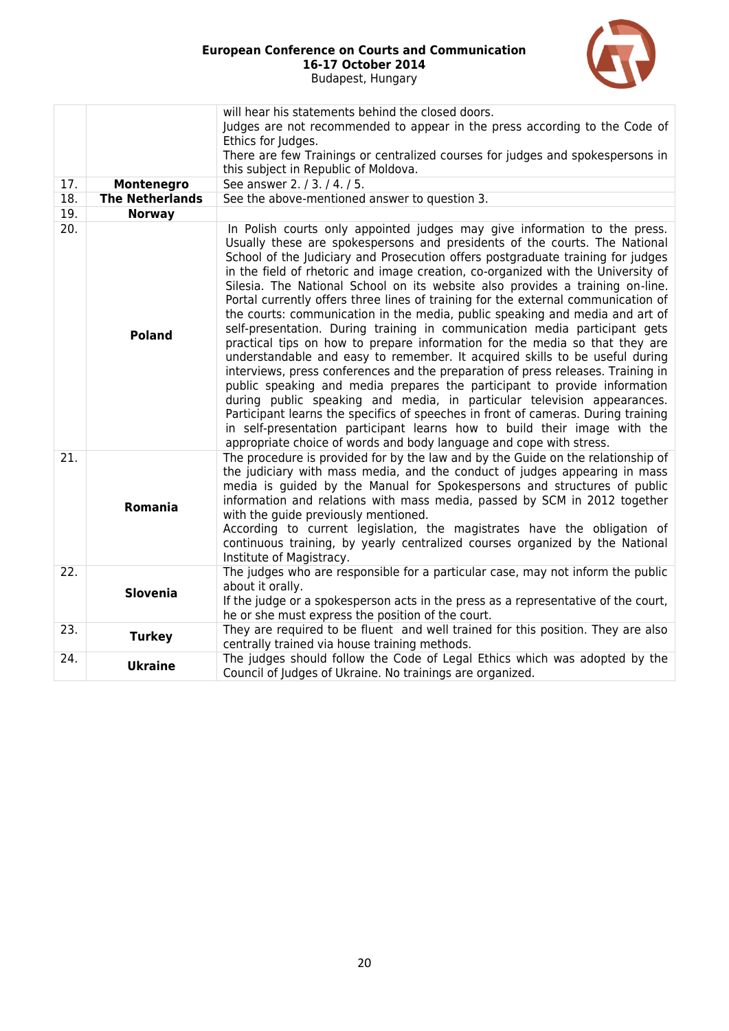

|     |                        | will hear his statements behind the closed doors.<br>Judges are not recommended to appear in the press according to the Code of<br>Ethics for Judges.<br>There are few Trainings or centralized courses for judges and spokespersons in<br>this subject in Republic of Moldova.                                                                                                                                                                                                                                                                                                                                                                                                                                                                                                                                                                                                                                                                                                                                                                                                                                                                                                                                                                                                                                       |
|-----|------------------------|-----------------------------------------------------------------------------------------------------------------------------------------------------------------------------------------------------------------------------------------------------------------------------------------------------------------------------------------------------------------------------------------------------------------------------------------------------------------------------------------------------------------------------------------------------------------------------------------------------------------------------------------------------------------------------------------------------------------------------------------------------------------------------------------------------------------------------------------------------------------------------------------------------------------------------------------------------------------------------------------------------------------------------------------------------------------------------------------------------------------------------------------------------------------------------------------------------------------------------------------------------------------------------------------------------------------------|
| 17. | Montenegro             | See answer 2. / 3. / 4. / 5.                                                                                                                                                                                                                                                                                                                                                                                                                                                                                                                                                                                                                                                                                                                                                                                                                                                                                                                                                                                                                                                                                                                                                                                                                                                                                          |
| 18. | <b>The Netherlands</b> | See the above-mentioned answer to question 3.                                                                                                                                                                                                                                                                                                                                                                                                                                                                                                                                                                                                                                                                                                                                                                                                                                                                                                                                                                                                                                                                                                                                                                                                                                                                         |
| 19. | <b>Norway</b>          |                                                                                                                                                                                                                                                                                                                                                                                                                                                                                                                                                                                                                                                                                                                                                                                                                                                                                                                                                                                                                                                                                                                                                                                                                                                                                                                       |
| 20. | <b>Poland</b>          | In Polish courts only appointed judges may give information to the press.<br>Usually these are spokespersons and presidents of the courts. The National<br>School of the Judiciary and Prosecution offers postgraduate training for judges<br>in the field of rhetoric and image creation, co-organized with the University of<br>Silesia. The National School on its website also provides a training on-line.<br>Portal currently offers three lines of training for the external communication of<br>the courts: communication in the media, public speaking and media and art of<br>self-presentation. During training in communication media participant gets<br>practical tips on how to prepare information for the media so that they are<br>understandable and easy to remember. It acquired skills to be useful during<br>interviews, press conferences and the preparation of press releases. Training in<br>public speaking and media prepares the participant to provide information<br>during public speaking and media, in particular television appearances.<br>Participant learns the specifics of speeches in front of cameras. During training<br>in self-presentation participant learns how to build their image with the<br>appropriate choice of words and body language and cope with stress. |
| 21. | <b>Romania</b>         | The procedure is provided for by the law and by the Guide on the relationship of<br>the judiciary with mass media, and the conduct of judges appearing in mass<br>media is guided by the Manual for Spokespersons and structures of public<br>information and relations with mass media, passed by SCM in 2012 together<br>with the quide previously mentioned.<br>According to current legislation, the magistrates have the obligation of<br>continuous training, by yearly centralized courses organized by the National<br>Institute of Magistracy.                                                                                                                                                                                                                                                                                                                                                                                                                                                                                                                                                                                                                                                                                                                                                               |
| 22. | <b>Slovenia</b>        | The judges who are responsible for a particular case, may not inform the public<br>about it orally.<br>If the judge or a spokesperson acts in the press as a representative of the court,<br>he or she must express the position of the court.                                                                                                                                                                                                                                                                                                                                                                                                                                                                                                                                                                                                                                                                                                                                                                                                                                                                                                                                                                                                                                                                        |
| 23. | <b>Turkey</b>          | They are required to be fluent and well trained for this position. They are also<br>centrally trained via house training methods.                                                                                                                                                                                                                                                                                                                                                                                                                                                                                                                                                                                                                                                                                                                                                                                                                                                                                                                                                                                                                                                                                                                                                                                     |
| 24. | <b>Ukraine</b>         | The judges should follow the Code of Legal Ethics which was adopted by the<br>Council of Judges of Ukraine. No trainings are organized.                                                                                                                                                                                                                                                                                                                                                                                                                                                                                                                                                                                                                                                                                                                                                                                                                                                                                                                                                                                                                                                                                                                                                                               |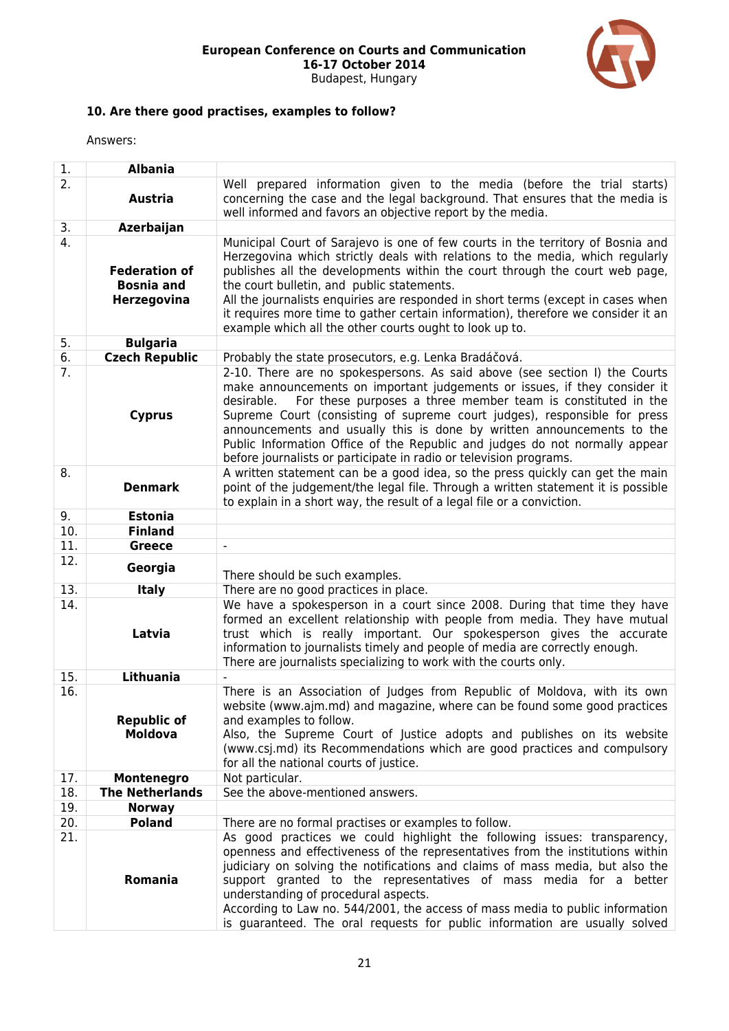

## **10. Are there good practises, examples to follow?**

| 1.               | Albania                                                  |                                                                                                                                                                                                                                                                                                                                                                                                                                                                                                                                                   |
|------------------|----------------------------------------------------------|---------------------------------------------------------------------------------------------------------------------------------------------------------------------------------------------------------------------------------------------------------------------------------------------------------------------------------------------------------------------------------------------------------------------------------------------------------------------------------------------------------------------------------------------------|
| 2.               | <b>Austria</b>                                           | Well prepared information given to the media (before the trial starts)<br>concerning the case and the legal background. That ensures that the media is<br>well informed and favors an objective report by the media.                                                                                                                                                                                                                                                                                                                              |
| 3.               | Azerbaijan                                               |                                                                                                                                                                                                                                                                                                                                                                                                                                                                                                                                                   |
| 4.               | <b>Federation of</b><br><b>Bosnia and</b><br>Herzegovina | Municipal Court of Sarajevo is one of few courts in the territory of Bosnia and<br>Herzegovina which strictly deals with relations to the media, which regularly<br>publishes all the developments within the court through the court web page,<br>the court bulletin, and public statements.<br>All the journalists enquiries are responded in short terms (except in cases when<br>it requires more time to gather certain information), therefore we consider it an<br>example which all the other courts ought to look up to.                 |
| 5.               | <b>Bulgaria</b>                                          |                                                                                                                                                                                                                                                                                                                                                                                                                                                                                                                                                   |
| 6.               | <b>Czech Republic</b>                                    | Probably the state prosecutors, e.g. Lenka Bradáčová.                                                                                                                                                                                                                                                                                                                                                                                                                                                                                             |
| $\overline{7}$ . | <b>Cyprus</b>                                            | 2-10. There are no spokespersons. As said above (see section I) the Courts<br>make announcements on important judgements or issues, if they consider it<br>For these purposes a three member team is constituted in the<br>desirable.<br>Supreme Court (consisting of supreme court judges), responsible for press<br>announcements and usually this is done by written announcements to the<br>Public Information Office of the Republic and judges do not normally appear<br>before journalists or participate in radio or television programs. |
| 8.               | <b>Denmark</b>                                           | A written statement can be a good idea, so the press quickly can get the main<br>point of the judgement/the legal file. Through a written statement it is possible<br>to explain in a short way, the result of a legal file or a conviction.                                                                                                                                                                                                                                                                                                      |
| 9.               | <b>Estonia</b>                                           |                                                                                                                                                                                                                                                                                                                                                                                                                                                                                                                                                   |
| 10.              | <b>Finland</b>                                           |                                                                                                                                                                                                                                                                                                                                                                                                                                                                                                                                                   |
| 11.              | <b>Greece</b>                                            | $\blacksquare$                                                                                                                                                                                                                                                                                                                                                                                                                                                                                                                                    |
| 12.              | Georgia                                                  | There should be such examples.                                                                                                                                                                                                                                                                                                                                                                                                                                                                                                                    |
| 13.              | <b>Italy</b>                                             | There are no good practices in place.                                                                                                                                                                                                                                                                                                                                                                                                                                                                                                             |
| 14.              | Latvia                                                   | We have a spokesperson in a court since 2008. During that time they have<br>formed an excellent relationship with people from media. They have mutual<br>trust which is really important. Our spokesperson gives the accurate<br>information to journalists timely and people of media are correctly enough.<br>There are journalists specializing to work with the courts only.                                                                                                                                                                  |
| 15.              | <b>Lithuania</b>                                         |                                                                                                                                                                                                                                                                                                                                                                                                                                                                                                                                                   |
| 16.              | <b>Republic of</b><br><b>Moldova</b>                     | There is an Association of Judges from Republic of Moldova, with its own<br>website (www.ajm.md) and magazine, where can be found some good practices<br>and examples to follow.<br>Also, the Supreme Court of Justice adopts and publishes on its website<br>(www.csj.md) its Recommendations which are good practices and compulsory<br>for all the national courts of justice.                                                                                                                                                                 |
| 17.              | Montenegro                                               | Not particular.                                                                                                                                                                                                                                                                                                                                                                                                                                                                                                                                   |
| 18.              | <b>The Netherlands</b>                                   | See the above-mentioned answers.                                                                                                                                                                                                                                                                                                                                                                                                                                                                                                                  |
| 19.              | <b>Norway</b>                                            |                                                                                                                                                                                                                                                                                                                                                                                                                                                                                                                                                   |
| 20.              | <b>Poland</b>                                            | There are no formal practises or examples to follow.                                                                                                                                                                                                                                                                                                                                                                                                                                                                                              |
| 21.              | Romania                                                  | As good practices we could highlight the following issues: transparency,<br>openness and effectiveness of the representatives from the institutions within<br>judiciary on solving the notifications and claims of mass media, but also the<br>support granted to the representatives of mass media for a better<br>understanding of procedural aspects.<br>According to Law no. 544/2001, the access of mass media to public information<br>is guaranteed. The oral requests for public information are usually solved                           |
|                  |                                                          |                                                                                                                                                                                                                                                                                                                                                                                                                                                                                                                                                   |